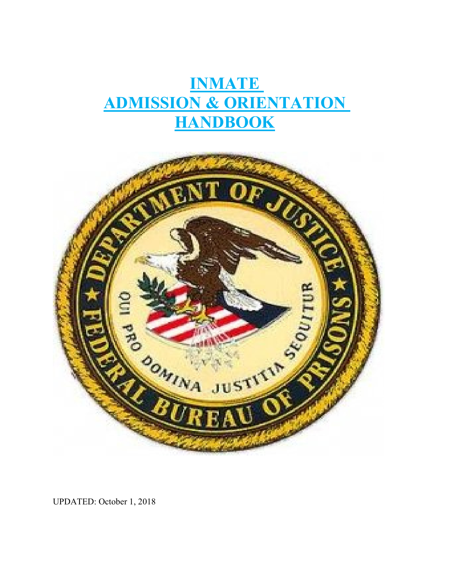# **INMATE ADMISSION & ORIENTATION HANDBOOK**



UPDATED: October 1, 2018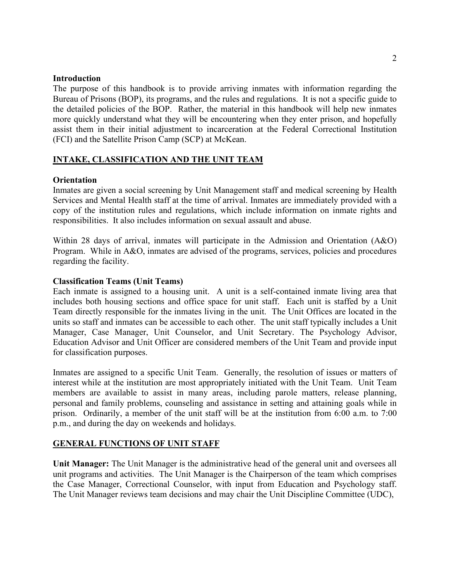# **Introduction**

The purpose of this handbook is to provide arriving inmates with information regarding the Bureau of Prisons (BOP), its programs, and the rules and regulations. It is not a specific guide to the detailed policies of the BOP. Rather, the material in this handbook will help new inmates more quickly understand what they will be encountering when they enter prison, and hopefully assist them in their initial adjustment to incarceration at the Federal Correctional Institution (FCI) and the Satellite Prison Camp (SCP) at McKean.

## **INTAKE, CLASSIFICATION AND THE UNIT TEAM**

## **Orientation**

Inmates are given a social screening by Unit Management staff and medical screening by Health Services and Mental Health staff at the time of arrival. Inmates are immediately provided with a copy of the institution rules and regulations, which include information on inmate rights and responsibilities. It also includes information on sexual assault and abuse.

Within 28 days of arrival, inmates will participate in the Admission and Orientation (A&O) Program. While in A&O, inmates are advised of the programs, services, policies and procedures regarding the facility.

## **Classification Teams (Unit Teams)**

Each inmate is assigned to a housing unit. A unit is a self-contained inmate living area that includes both housing sections and office space for unit staff. Each unit is staffed by a Unit Team directly responsible for the inmates living in the unit. The Unit Offices are located in the units so staff and inmates can be accessible to each other. The unit staff typically includes a Unit Manager, Case Manager, Unit Counselor, and Unit Secretary. The Psychology Advisor, Education Advisor and Unit Officer are considered members of the Unit Team and provide input for classification purposes.

Inmates are assigned to a specific Unit Team. Generally, the resolution of issues or matters of interest while at the institution are most appropriately initiated with the Unit Team. Unit Team members are available to assist in many areas, including parole matters, release planning, personal and family problems, counseling and assistance in setting and attaining goals while in prison. Ordinarily, a member of the unit staff will be at the institution from 6:00 a.m. to 7:00 p.m., and during the day on weekends and holidays.

## **GENERAL FUNCTIONS OF UNIT STAFF**

**Unit Manager:** The Unit Manager is the administrative head of the general unit and oversees all unit programs and activities. The Unit Manager is the Chairperson of the team which comprises the Case Manager, Correctional Counselor, with input from Education and Psychology staff. The Unit Manager reviews team decisions and may chair the Unit Discipline Committee (UDC),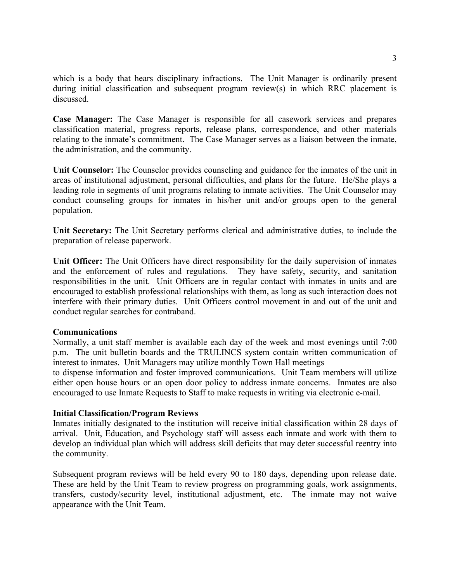which is a body that hears disciplinary infractions. The Unit Manager is ordinarily present during initial classification and subsequent program review(s) in which RRC placement is discussed.

**Case Manager:** The Case Manager is responsible for all casework services and prepares classification material, progress reports, release plans, correspondence, and other materials relating to the inmate's commitment. The Case Manager serves as a liaison between the inmate, the administration, and the community.

**Unit Counselor:** The Counselor provides counseling and guidance for the inmates of the unit in areas of institutional adjustment, personal difficulties, and plans for the future. He/She plays a leading role in segments of unit programs relating to inmate activities. The Unit Counselor may conduct counseling groups for inmates in his/her unit and/or groups open to the general population.

**Unit Secretary:** The Unit Secretary performs clerical and administrative duties, to include the preparation of release paperwork.

**Unit Officer:** The Unit Officers have direct responsibility for the daily supervision of inmates and the enforcement of rules and regulations. They have safety, security, and sanitation responsibilities in the unit. Unit Officers are in regular contact with inmates in units and are encouraged to establish professional relationships with them, as long as such interaction does not interfere with their primary duties. Unit Officers control movement in and out of the unit and conduct regular searches for contraband.

## **Communications**

Normally, a unit staff member is available each day of the week and most evenings until 7:00 p.m. The unit bulletin boards and the TRULINCS system contain written communication of interest to inmates. Unit Managers may utilize monthly Town Hall meetings

to dispense information and foster improved communications. Unit Team members will utilize either open house hours or an open door policy to address inmate concerns. Inmates are also encouraged to use Inmate Requests to Staff to make requests in writing via electronic e-mail.

# **Initial Classification/Program Reviews**

Inmates initially designated to the institution will receive initial classification within 28 days of arrival. Unit, Education, and Psychology staff will assess each inmate and work with them to develop an individual plan which will address skill deficits that may deter successful reentry into the community.

Subsequent program reviews will be held every 90 to 180 days, depending upon release date. These are held by the Unit Team to review progress on programming goals, work assignments, transfers, custody/security level, institutional adjustment, etc. The inmate may not waive appearance with the Unit Team.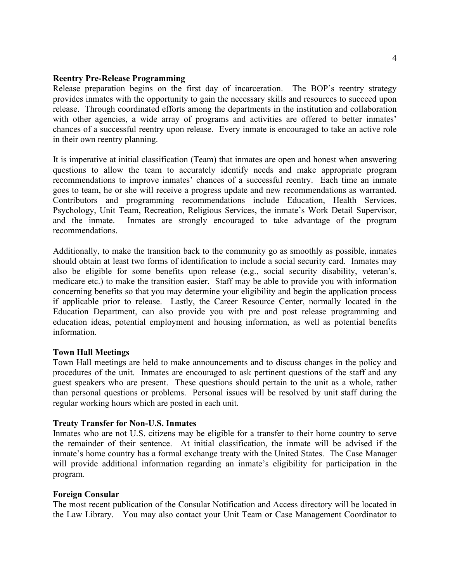#### **Reentry Pre-Release Programming**

Release preparation begins on the first day of incarceration. The BOP's reentry strategy provides inmates with the opportunity to gain the necessary skills and resources to succeed upon release. Through coordinated efforts among the departments in the institution and collaboration with other agencies, a wide array of programs and activities are offered to better inmates' chances of a successful reentry upon release. Every inmate is encouraged to take an active role in their own reentry planning.

It is imperative at initial classification (Team) that inmates are open and honest when answering questions to allow the team to accurately identify needs and make appropriate program recommendations to improve inmates' chances of a successful reentry. Each time an inmate goes to team, he or she will receive a progress update and new recommendations as warranted. Contributors and programming recommendations include Education, Health Services, Psychology, Unit Team, Recreation, Religious Services, the inmate's Work Detail Supervisor, and the inmate. Inmates are strongly encouraged to take advantage of the program recommendations.

Additionally, to make the transition back to the community go as smoothly as possible, inmates should obtain at least two forms of identification to include a social security card. Inmates may also be eligible for some benefits upon release (e.g., social security disability, veteran's, medicare etc.) to make the transition easier. Staff may be able to provide you with information concerning benefits so that you may determine your eligibility and begin the application process if applicable prior to release. Lastly, the Career Resource Center, normally located in the Education Department, can also provide you with pre and post release programming and education ideas, potential employment and housing information, as well as potential benefits information.

## **Town Hall Meetings**

Town Hall meetings are held to make announcements and to discuss changes in the policy and procedures of the unit. Inmates are encouraged to ask pertinent questions of the staff and any guest speakers who are present. These questions should pertain to the unit as a whole, rather than personal questions or problems. Personal issues will be resolved by unit staff during the regular working hours which are posted in each unit.

#### **Treaty Transfer for Non-U.S. Inmates**

Inmates who are not U.S. citizens may be eligible for a transfer to their home country to serve the remainder of their sentence. At initial classification, the inmate will be advised if the inmate's home country has a formal exchange treaty with the United States. The Case Manager will provide additional information regarding an inmate's eligibility for participation in the program.

#### **Foreign Consular**

The most recent publication of the Consular Notification and Access directory will be located in the Law Library. You may also contact your Unit Team or Case Management Coordinator to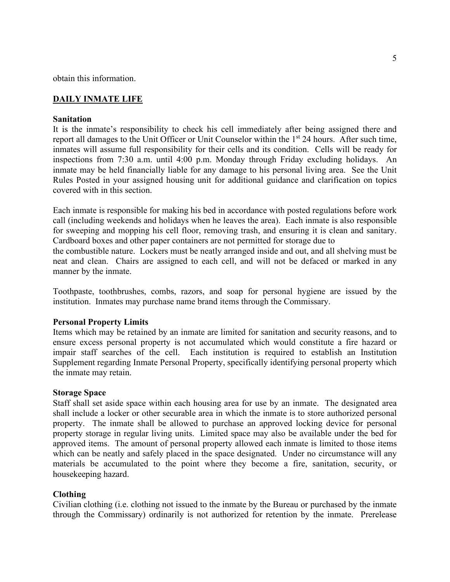obtain this information.

# **DAILY INMATE LIFE**

## **Sanitation**

It is the inmate's responsibility to check his cell immediately after being assigned there and report all damages to the Unit Officer or Unit Counselor within the 1<sup>st</sup> 24 hours. After such time, inmates will assume full responsibility for their cells and its condition. Cells will be ready for inspections from 7:30 a.m. until 4:00 p.m. Monday through Friday excluding holidays. An inmate may be held financially liable for any damage to his personal living area. See the Unit Rules Posted in your assigned housing unit for additional guidance and clarification on topics covered with in this section.

Each inmate is responsible for making his bed in accordance with posted regulations before work call (including weekends and holidays when he leaves the area). Each inmate is also responsible for sweeping and mopping his cell floor, removing trash, and ensuring it is clean and sanitary. Cardboard boxes and other paper containers are not permitted for storage due to

the combustible nature. Lockers must be neatly arranged inside and out, and all shelving must be neat and clean. Chairs are assigned to each cell, and will not be defaced or marked in any manner by the inmate.

Toothpaste, toothbrushes, combs, razors, and soap for personal hygiene are issued by the institution. Inmates may purchase name brand items through the Commissary.

## **Personal Property Limits**

Items which may be retained by an inmate are limited for sanitation and security reasons, and to ensure excess personal property is not accumulated which would constitute a fire hazard or impair staff searches of the cell. Each institution is required to establish an Institution Supplement regarding Inmate Personal Property, specifically identifying personal property which the inmate may retain.

#### **Storage Space**

Staff shall set aside space within each housing area for use by an inmate. The designated area shall include a locker or other securable area in which the inmate is to store authorized personal property. The inmate shall be allowed to purchase an approved locking device for personal property storage in regular living units.Limited space may also be available under the bed for approved items. The amount of personal property allowed each inmate is limited to those items which can be neatly and safely placed in the space designated. Under no circumstance will any materials be accumulated to the point where they become a fire, sanitation, security, or housekeeping hazard.

## **Clothing**

Civilian clothing (i.e. clothing not issued to the inmate by the Bureau or purchased by the inmate through the Commissary) ordinarily is not authorized for retention by the inmate. Prerelease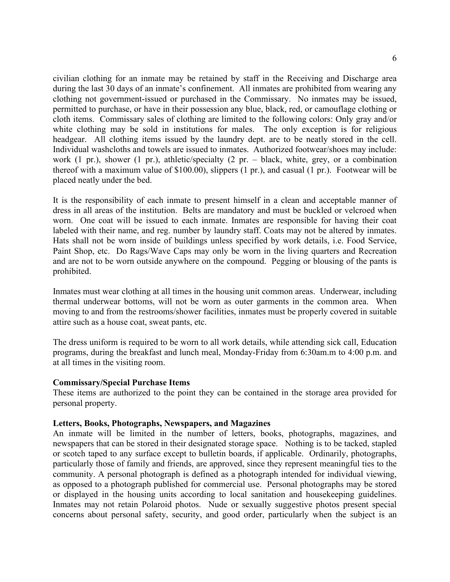civilian clothing for an inmate may be retained by staff in the Receiving and Discharge area during the last 30 days of an inmate's confinement. All inmates are prohibited from wearing any clothing not government-issued or purchased in the Commissary. No inmates may be issued, permitted to purchase, or have in their possession any blue, black, red, or camouflage clothing or cloth items. Commissary sales of clothing are limited to the following colors: Only gray and/or white clothing may be sold in institutions for males. The only exception is for religious headgear. All clothing items issued by the laundry dept. are to be neatly stored in the cell. Individual washcloths and towels are issued to inmates. Authorized footwear/shoes may include: work (1 pr.), shower (1 pr.), athletic/specialty (2 pr. – black, white, grey, or a combination thereof with a maximum value of \$100.00), slippers (1 pr.), and casual (1 pr.). Footwear will be placed neatly under the bed.

It is the responsibility of each inmate to present himself in a clean and acceptable manner of dress in all areas of the institution. Belts are mandatory and must be buckled or velcroed when worn. One coat will be issued to each inmate. Inmates are responsible for having their coat labeled with their name, and reg. number by laundry staff. Coats may not be altered by inmates. Hats shall not be worn inside of buildings unless specified by work details, i.e. Food Service, Paint Shop, etc. Do Rags/Wave Caps may only be worn in the living quarters and Recreation and are not to be worn outside anywhere on the compound. Pegging or blousing of the pants is prohibited.

Inmates must wear clothing at all times in the housing unit common areas. Underwear, including thermal underwear bottoms, will not be worn as outer garments in the common area. When moving to and from the restrooms/shower facilities, inmates must be properly covered in suitable attire such as a house coat, sweat pants, etc.

The dress uniform is required to be worn to all work details, while attending sick call, Education programs, during the breakfast and lunch meal, Monday-Friday from 6:30am.m to 4:00 p.m. and at all times in the visiting room.

#### **Commissary/Special Purchase Items**

These items are authorized to the point they can be contained in the storage area provided for personal property.

#### **Letters, Books, Photographs, Newspapers, and Magazines**

An inmate will be limited in the number of letters, books, photographs, magazines, and newspapers that can be stored in their designated storage space. Nothing is to be tacked, stapled or scotch taped to any surface except to bulletin boards, if applicable. Ordinarily, photographs, particularly those of family and friends, are approved, since they represent meaningful ties to the community. A personal photograph is defined as a photograph intended for individual viewing, as opposed to a photograph published for commercial use. Personal photographs may be stored or displayed in the housing units according to local sanitation and housekeeping guidelines. Inmates may not retain Polaroid photos. Nude or sexually suggestive photos present special concerns about personal safety, security, and good order, particularly when the subject is an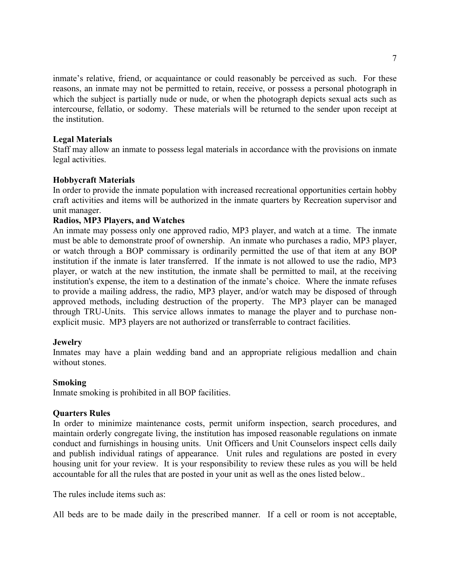inmate's relative, friend, or acquaintance or could reasonably be perceived as such. For these reasons, an inmate may not be permitted to retain, receive, or possess a personal photograph in which the subject is partially nude or nude, or when the photograph depicts sexual acts such as intercourse, fellatio, or sodomy. These materials will be returned to the sender upon receipt at the institution.

## **Legal Materials**

Staff may allow an inmate to possess legal materials in accordance with the provisions on inmate legal activities.

# **Hobbycraft Materials**

In order to provide the inmate population with increased recreational opportunities certain hobby craft activities and items will be authorized in the inmate quarters by Recreation supervisor and unit manager.

## **Radios, MP3 Players, and Watches**

An inmate may possess only one approved radio, MP3 player, and watch at a time. The inmate must be able to demonstrate proof of ownership. An inmate who purchases a radio, MP3 player, or watch through a BOP commissary is ordinarily permitted the use of that item at any BOP institution if the inmate is later transferred. If the inmate is not allowed to use the radio, MP3 player, or watch at the new institution, the inmate shall be permitted to mail, at the receiving institution's expense, the item to a destination of the inmate's choice. Where the inmate refuses to provide a mailing address, the radio, MP3 player, and/or watch may be disposed of through approved methods, including destruction of the property. The MP3 player can be managed through TRU-Units. This service allows inmates to manage the player and to purchase nonexplicit music. MP3 players are not authorized or transferrable to contract facilities.

## **Jewelry**

Inmates may have a plain wedding band and an appropriate religious medallion and chain without stones.

## **Smoking**

Inmate smoking is prohibited in all BOP facilities.

## **Quarters Rules**

In order to minimize maintenance costs, permit uniform inspection, search procedures, and maintain orderly congregate living, the institution has imposed reasonable regulations on inmate conduct and furnishings in housing units. Unit Officers and Unit Counselors inspect cells daily and publish individual ratings of appearance. Unit rules and regulations are posted in every housing unit for your review. It is your responsibility to review these rules as you will be held accountable for all the rules that are posted in your unit as well as the ones listed below..

The rules include items such as:

All beds are to be made daily in the prescribed manner. If a cell or room is not acceptable,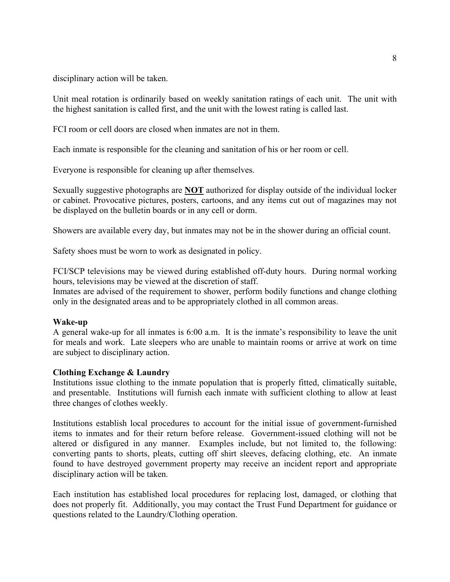disciplinary action will be taken.

Unit meal rotation is ordinarily based on weekly sanitation ratings of each unit. The unit with the highest sanitation is called first, and the unit with the lowest rating is called last.

FCI room or cell doors are closed when inmates are not in them.

Each inmate is responsible for the cleaning and sanitation of his or her room or cell.

Everyone is responsible for cleaning up after themselves.

Sexually suggestive photographs are **NOT** authorized for display outside of the individual locker or cabinet. Provocative pictures, posters, cartoons, and any items cut out of magazines may not be displayed on the bulletin boards or in any cell or dorm.

Showers are available every day, but inmates may not be in the shower during an official count.

Safety shoes must be worn to work as designated in policy.

FCI/SCP televisions may be viewed during established off-duty hours. During normal working hours, televisions may be viewed at the discretion of staff.

Inmates are advised of the requirement to shower, perform bodily functions and change clothing only in the designated areas and to be appropriately clothed in all common areas.

## **Wake-up**

A general wake-up for all inmates is 6:00 a.m. It is the inmate's responsibility to leave the unit for meals and work. Late sleepers who are unable to maintain rooms or arrive at work on time are subject to disciplinary action.

## **Clothing Exchange & Laundry**

Institutions issue clothing to the inmate population that is properly fitted, climatically suitable, and presentable. Institutions will furnish each inmate with sufficient clothing to allow at least three changes of clothes weekly.

Institutions establish local procedures to account for the initial issue of government-furnished items to inmates and for their return before release. Government-issued clothing will not be altered or disfigured in any manner. Examples include, but not limited to, the following: converting pants to shorts, pleats, cutting off shirt sleeves, defacing clothing, etc. An inmate found to have destroyed government property may receive an incident report and appropriate disciplinary action will be taken.

Each institution has established local procedures for replacing lost, damaged, or clothing that does not properly fit. Additionally, you may contact the Trust Fund Department for guidance or questions related to the Laundry/Clothing operation.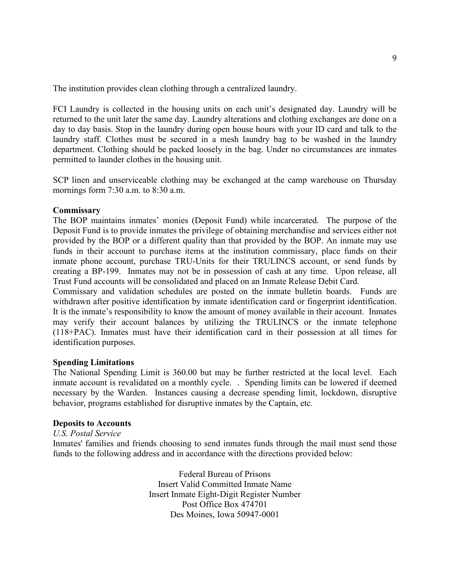The institution provides clean clothing through a centralized laundry.

FCI Laundry is collected in the housing units on each unit's designated day. Laundry will be returned to the unit later the same day. Laundry alterations and clothing exchanges are done on a day to day basis. Stop in the laundry during open house hours with your ID card and talk to the laundry staff. Clothes must be secured in a mesh laundry bag to be washed in the laundry department. Clothing should be packed loosely in the bag. Under no circumstances are inmates permitted to launder clothes in the housing unit.

SCP linen and unserviceable clothing may be exchanged at the camp warehouse on Thursday mornings form 7:30 a.m. to 8:30 a.m.

## **Commissary**

The BOP maintains inmates' monies (Deposit Fund) while incarcerated. The purpose of the Deposit Fund is to provide inmates the privilege of obtaining merchandise and services either not provided by the BOP or a different quality than that provided by the BOP. An inmate may use funds in their account to purchase items at the institution commissary, place funds on their inmate phone account, purchase TRU-Units for their TRULINCS account, or send funds by creating a BP-199. Inmates may not be in possession of cash at any time. Upon release, all Trust Fund accounts will be consolidated and placed on an Inmate Release Debit Card.

Commissary and validation schedules are posted on the inmate bulletin boards. Funds are withdrawn after positive identification by inmate identification card or fingerprint identification. It is the inmate's responsibility to know the amount of money available in their account. Inmates may verify their account balances by utilizing the TRULINCS or the inmate telephone (118+PAC). Inmates must have their identification card in their possession at all times for identification purposes.

#### **Spending Limitations**

The National Spending Limit is 360.00 but may be further restricted at the local level. Each inmate account is revalidated on a monthly cycle. . Spending limits can be lowered if deemed necessary by the Warden. Instances causing a decrease spending limit, lockdown, disruptive behavior, programs established for disruptive inmates by the Captain, etc.

#### **Deposits to Accounts**

## *U.S. Postal Service*

Inmates' families and friends choosing to send inmates funds through the mail must send those funds to the following address and in accordance with the directions provided below:

> Federal Bureau of Prisons Insert Valid Committed Inmate Name Insert Inmate Eight-Digit Register Number Post Office Box 474701 Des Moines, Iowa 50947-0001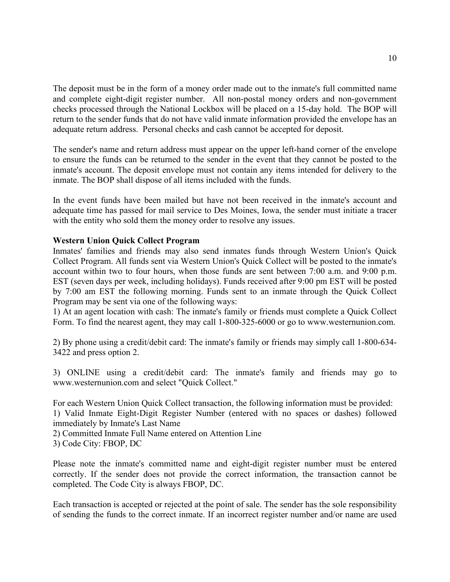The deposit must be in the form of a money order made out to the inmate's full committed name and complete eight-digit register number. All non-postal money orders and non-government checks processed through the National Lockbox will be placed on a 15-day hold. The BOP will return to the sender funds that do not have valid inmate information provided the envelope has an adequate return address. Personal checks and cash cannot be accepted for deposit.

The sender's name and return address must appear on the upper left-hand corner of the envelope to ensure the funds can be returned to the sender in the event that they cannot be posted to the inmate's account. The deposit envelope must not contain any items intended for delivery to the inmate. The BOP shall dispose of all items included with the funds.

In the event funds have been mailed but have not been received in the inmate's account and adequate time has passed for mail service to Des Moines, Iowa, the sender must initiate a tracer with the entity who sold them the money order to resolve any issues.

# **Western Union Quick Collect Program**

Inmates' families and friends may also send inmates funds through Western Union's Quick Collect Program. All funds sent via Western Union's Quick Collect will be posted to the inmate's account within two to four hours, when those funds are sent between 7:00 a.m. and 9:00 p.m. EST (seven days per week, including holidays). Funds received after 9:00 pm EST will be posted by 7:00 am EST the following morning. Funds sent to an inmate through the Quick Collect Program may be sent via one of the following ways:

1) At an agent location with cash: The inmate's family or friends must complete a Quick Collect Form. To find the nearest agent, they may call 1-800-325-6000 or go to www.westernunion.com.

2) By phone using a credit/debit card: The inmate's family or friends may simply call 1-800-634- 3422 and press option 2.

3) ONLINE using a credit/debit card: The inmate's family and friends may go to www.westernunion.com and select "Quick Collect."

For each Western Union Quick Collect transaction, the following information must be provided: 1) Valid Inmate Eight-Digit Register Number (entered with no spaces or dashes) followed immediately by Inmate's Last Name

2) Committed Inmate Full Name entered on Attention Line

3) Code City: FBOP, DC

Please note the inmate's committed name and eight-digit register number must be entered correctly. If the sender does not provide the correct information, the transaction cannot be completed. The Code City is always FBOP, DC.

Each transaction is accepted or rejected at the point of sale. The sender has the sole responsibility of sending the funds to the correct inmate. If an incorrect register number and/or name are used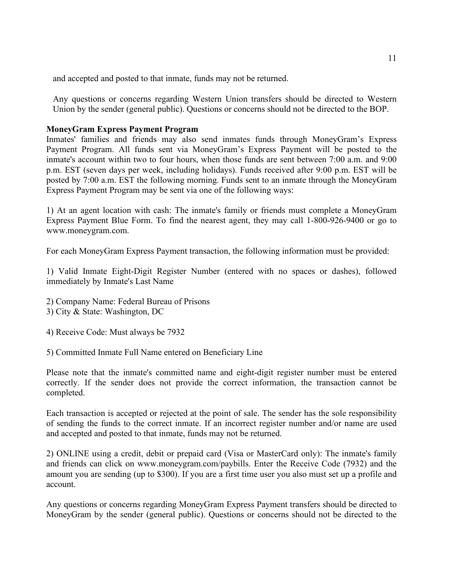and accepted and posted to that inmate, funds may not be returned.

Any questions or concerns regarding Western Union transfers should be directed to Western Union by the sender (general public). Questions or concerns should not be directed to the BOP.

## **MoneyGram Express Payment Program**

Inmates' families and friends may also send inmates funds through MoneyGram's Express Payment Program. All funds sent via MoneyGram's Express Payment will be posted to the inmate's account within two to four hours, when those funds are sent between 7:00 a.m. and 9:00 p.m. EST (seven days per week, including holidays). Funds received after 9:00 p.m. EST will be posted by 7:00 a.m. EST the following morning. Funds sent to an inmate through the MoneyGram Express Payment Program may be sent via one of the following ways:

1) At an agent location with cash: The inmate's family or friends must complete a MoneyGram Express Payment Blue Form. To find the nearest agent, they may call 1-800-926-9400 or go to www.moneygram.com.

For each MoneyGram Express Payment transaction, the following information must be provided:

1) Valid Inmate Eight-Digit Register Number (entered with no spaces or dashes), followed immediately by Inmate's Last Name

- 2) Company Name: Federal Bureau of Prisons
- 3) City & State: Washington, DC
- 4) Receive Code: Must always be 7932
- 5) Committed Inmate Full Name entered on Beneficiary Line

Please note that the inmate's committed name and eight-digit register number must be entered correctly. If the sender does not provide the correct information, the transaction cannot be completed.

Each transaction is accepted or rejected at the point of sale. The sender has the sole responsibility of sending the funds to the correct inmate. If an incorrect register number and/or name are used and accepted and posted to that inmate, funds may not be returned.

2) ONLINE using a credit, debit or prepaid card (Visa or MasterCard only): The inmate's family and friends can click on www.moneygram.com/paybills. Enter the Receive Code (7932) and the amount you are sending (up to \$300). If you are a first time user you also must set up a profile and account.

Any questions or concerns regarding MoneyGram Express Payment transfers should be directed to MoneyGram by the sender (general public). Questions or concerns should not be directed to the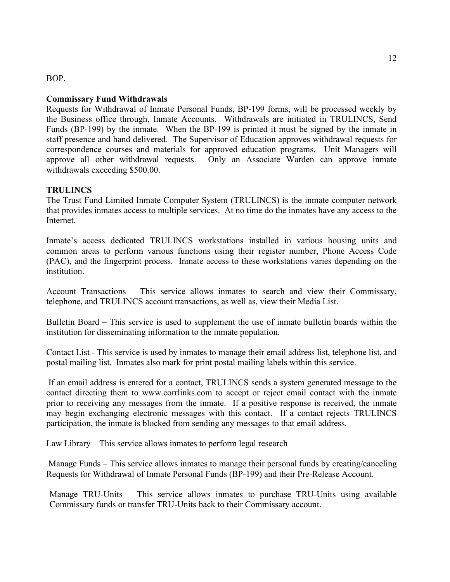## BOP.

## **Commissary Fund Withdrawals**

Requests for Withdrawal of Inmate Personal Funds, BP-199 forms, will be processed weekly by the Business office through, Inmate Accounts. Withdrawals are initiated in TRULINCS, Send Funds (BP-199) by the inmate. When the BP-199 is printed it must be signed by the inmate in staff presence and hand delivered. The Supervisor of Education approves withdrawal requests for correspondence courses and materials for approved education programs. Unit Managers will approve all other withdrawal requests. Only an Associate Warden can approve inmate withdrawals exceeding \$500.00.

# **TRULINCS**

The Trust Fund Limited Inmate Computer System (TRULINCS) is the inmate computer network that provides inmates access to multiple services. At no time do the inmates have any access to the Internet.

Inmate's access dedicated TRULINCS workstations installed in various housing units and common areas to perform various functions using their register number, Phone Access Code (PAC), and the fingerprint process. Inmate access to these workstations varies depending on the institution.

Account Transactions – This service allows inmates to search and view their Commissary, telephone, and TRULINCS account transactions, as well as, view their Media List.

Bulletin Board – This service is used to supplement the use of inmate bulletin boards within the institution for disseminating information to the inmate population.

Contact List - This service is used by inmates to manage their email address list, telephone list, and postal mailing list. Inmates also mark for print postal mailing labels within this service.

If an email address is entered for a contact, TRULINCS sends a system generated message to the contact directing them to www.corrlinks.com to accept or reject email contact with the inmate prior to receiving any messages from the inmate. If a positive response is received, the inmate may begin exchanging electronic messages with this contact. If a contact rejects TRULINCS participation, the inmate is blocked from sending any messages to that email address.

Law Library – This service allows inmates to perform legal research

Manage Funds – This service allows inmates to manage their personal funds by creating/canceling Requests for Withdrawal of Inmate Personal Funds (BP-199) and their Pre-Release Account.

Manage TRU-Units – This service allows inmates to purchase TRU-Units using available Commissary funds or transfer TRU-Units back to their Commissary account.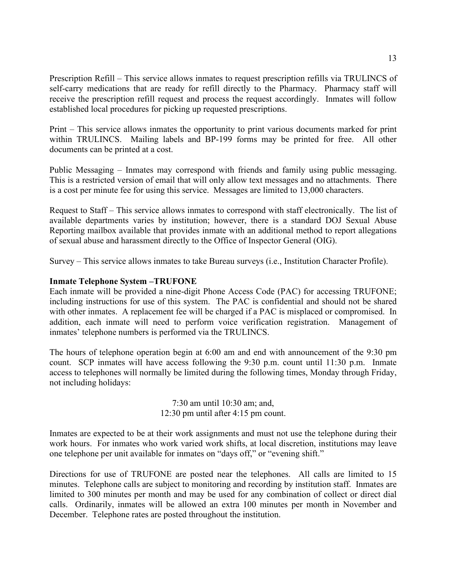Prescription Refill – This service allows inmates to request prescription refills via TRULINCS of self-carry medications that are ready for refill directly to the Pharmacy. Pharmacy staff will receive the prescription refill request and process the request accordingly. Inmates will follow established local procedures for picking up requested prescriptions.

Print – This service allows inmates the opportunity to print various documents marked for print within TRULINCS. Mailing labels and BP-199 forms may be printed for free. All other documents can be printed at a cost.

Public Messaging – Inmates may correspond with friends and family using public messaging. This is a restricted version of email that will only allow text messages and no attachments. There is a cost per minute fee for using this service. Messages are limited to 13,000 characters.

Request to Staff – This service allows inmates to correspond with staff electronically. The list of available departments varies by institution; however, there is a standard DOJ Sexual Abuse Reporting mailbox available that provides inmate with an additional method to report allegations of sexual abuse and harassment directly to the Office of Inspector General (OIG).

Survey – This service allows inmates to take Bureau surveys (i.e., Institution Character Profile).

## **Inmate Telephone System –TRUFONE**

Each inmate will be provided a nine-digit Phone Access Code (PAC) for accessing TRUFONE; including instructions for use of this system. The PAC is confidential and should not be shared with other inmates. A replacement fee will be charged if a PAC is misplaced or compromised. In addition, each inmate will need to perform voice verification registration. Management of inmates' telephone numbers is performed via the TRULINCS.

The hours of telephone operation begin at 6:00 am and end with announcement of the 9:30 pm count. SCP inmates will have access following the 9:30 p.m. count until 11:30 p.m. Inmate access to telephones will normally be limited during the following times, Monday through Friday, not including holidays:

> 7:30 am until 10:30 am; and, 12:30 pm until after 4:15 pm count.

Inmates are expected to be at their work assignments and must not use the telephone during their work hours. For inmates who work varied work shifts, at local discretion, institutions may leave one telephone per unit available for inmates on "days off," or "evening shift."

Directions for use of TRUFONE are posted near the telephones. All calls are limited to 15 minutes. Telephone calls are subject to monitoring and recording by institution staff. Inmates are limited to 300 minutes per month and may be used for any combination of collect or direct dial calls. Ordinarily, inmates will be allowed an extra 100 minutes per month in November and December. Telephone rates are posted throughout the institution.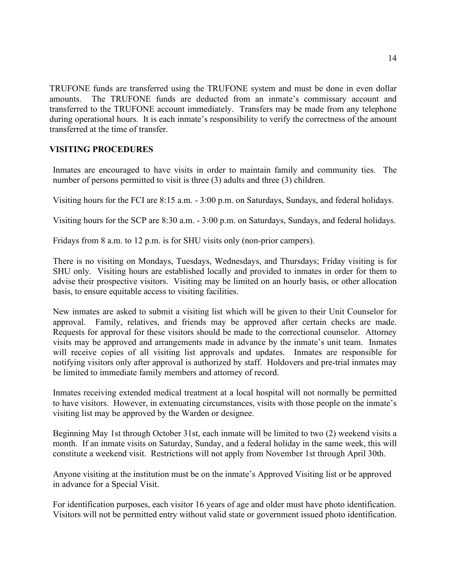TRUFONE funds are transferred using the TRUFONE system and must be done in even dollar amounts. The TRUFONE funds are deducted from an inmate's commissary account and transferred to the TRUFONE account immediately. Transfers may be made from any telephone during operational hours. It is each inmate's responsibility to verify the correctness of the amount transferred at the time of transfer.

# **VISITING PROCEDURES**

Inmates are encouraged to have visits in order to maintain family and community ties. The number of persons permitted to visit is three (3) adults and three (3) children.

Visiting hours for the FCI are 8:15 a.m. - 3:00 p.m. on Saturdays, Sundays, and federal holidays.

Visiting hours for the SCP are 8:30 a.m. - 3:00 p.m. on Saturdays, Sundays, and federal holidays.

Fridays from 8 a.m. to 12 p.m. is for SHU visits only (non-prior campers).

There is no visiting on Mondays, Tuesdays, Wednesdays, and Thursdays; Friday visiting is for SHU only. Visiting hours are established locally and provided to inmates in order for them to advise their prospective visitors. Visiting may be limited on an hourly basis, or other allocation basis, to ensure equitable access to visiting facilities.

New inmates are asked to submit a visiting list which will be given to their Unit Counselor for approval. Family, relatives, and friends may be approved after certain checks are made. Requests for approval for these visitors should be made to the correctional counselor. Attorney visits may be approved and arrangements made in advance by the inmate's unit team. Inmates will receive copies of all visiting list approvals and updates. Inmates are responsible for notifying visitors only after approval is authorized by staff. Holdovers and pre-trial inmates may be limited to immediate family members and attorney of record.

Inmates receiving extended medical treatment at a local hospital will not normally be permitted to have visitors. However, in extenuating circumstances, visits with those people on the inmate's visiting list may be approved by the Warden or designee.

Beginning May 1st through October 31st, each inmate will be limited to two (2) weekend visits a month. If an inmate visits on Saturday, Sunday, and a federal holiday in the same week, this will constitute a weekend visit. Restrictions will not apply from November 1st through April 30th.

Anyone visiting at the institution must be on the inmate's Approved Visiting list or be approved in advance for a Special Visit.

For identification purposes, each visitor 16 years of age and older must have photo identification. Visitors will not be permitted entry without valid state or government issued photo identification.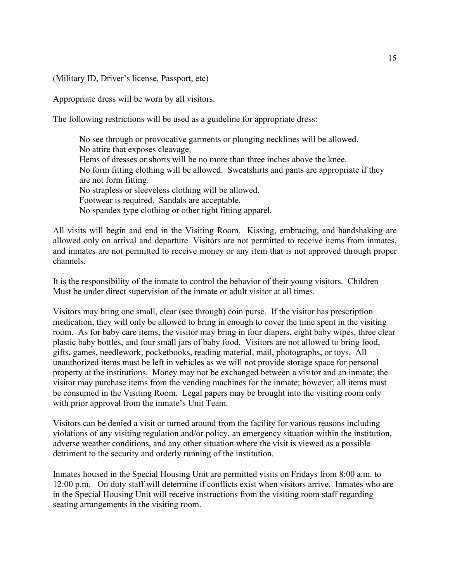(Military ID, Driver's license, Passport, etc)

Appropriate dress will be worn by all visitors.

The following restrictions will be used as a guideline for appropriate dress:

No see through or provocative garments or plunging necklines will be allowed. No attire that exposes cleavage. Hems of dresses or shorts will be no more than three inches above the knee. No form fitting clothing will be allowed. Sweatshirts and pants are appropriate if they are not form fitting. No strapless or sleeveless clothing will be allowed. Footwear is required. Sandals are acceptable. No spandex type clothing or other tight fitting apparel.

All visits will begin and end in the Visiting Room. Kissing, embracing, and handshaking are allowed only on arrival and departure. Visitors are not permitted to receive items from inmates, and inmates are not permitted to receive money or any item that is not approved through proper channels.

It is the responsibility of the inmate to control the behavior of their young visitors. Children Must be under direct supervision of the inmate or adult visitor at all times.

Visitors may bring one small, clear (see through) coin purse. If the visitor has prescription medication, they will only be allowed to bring in enough to cover the time spent in the visiting room. As for baby care items, the visitor may bring in four diapers, eight baby wipes, three clear plastic baby bottles, and four small jars of baby food. Visitors are not allowed to bring food, gifts, games, needlework, pocketbooks, reading material, mail, photographs, or toys. All unauthorized items must be left in vehicles as we will not provide storage space for personal property at the institutions. Money may not be exchanged between a visitor and an inmate; the visitor may purchase items from the vending machines for the inmate; however, all items must be consumed in the Visiting Room. Legal papers may be brought into the visiting room only with prior approval from the inmate's Unit Team.

Visitors can be denied a visit or turned around from the facility for various reasons including violations of any visiting regulation and/or policy, an emergency situation within the institution, adverse weather conditions, and any other situation where the visit is viewed as a possible detriment to the security and orderly running of the institution.

Inmates housed in the Special Housing Unit are permitted visits on Fridays from 8:00 a.m. to 12:00 p.m. On duty staff will determine if conflicts exist when visitors arrive. Inmates who are in the Special Housing Unit will receive instructions from the visiting room staff regarding seating arrangements in the visiting room.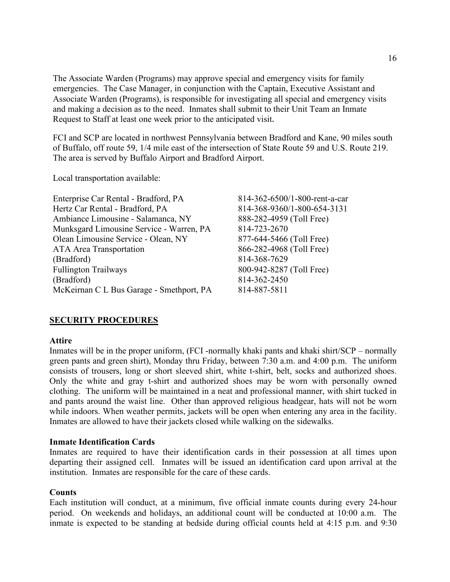The Associate Warden (Programs) may approve special and emergency visits for family emergencies. The Case Manager, in conjunction with the Captain, Executive Assistant and Associate Warden (Programs), is responsible for investigating all special and emergency visits and making a decision as to the need. Inmates shall submit to their Unit Team an Inmate Request to Staff at least one week prior to the anticipated visit**.**

FCI and SCP are located in northwest Pennsylvania between Bradford and Kane, 90 miles south of Buffalo, off route 59, 1/4 mile east of the intersection of State Route 59 and U.S. Route 219. The area is served by Buffalo Airport and Bradford Airport.

Local transportation available:

| 814-362-6500/1-800-rent-a-car |
|-------------------------------|
| 814-368-9360/1-800-654-3131   |
| 888-282-4959 (Toll Free)      |
| 814-723-2670                  |
| 877-644-5466 (Toll Free)      |
| 866-282-4968 (Toll Free)      |
| 814-368-7629                  |
| 800-942-8287 (Toll Free)      |
| 814-362-2450                  |
| 814-887-5811                  |
|                               |

## **SECURITY PROCEDURES**

#### **Attire**

Inmates will be in the proper uniform, (FCI -normally khaki pants and khaki shirt/SCP – normally green pants and green shirt), Monday thru Friday, between 7:30 a.m. and 4:00 p.m. The uniform consists of trousers, long or short sleeved shirt, white t-shirt, belt, socks and authorized shoes. Only the white and gray t-shirt and authorized shoes may be worn with personally owned clothing. The uniform will be maintained in a neat and professional manner, with shirt tucked in and pants around the waist line. Other than approved religious headgear, hats will not be worn while indoors. When weather permits, jackets will be open when entering any area in the facility. Inmates are allowed to have their jackets closed while walking on the sidewalks.

#### **Inmate Identification Cards**

Inmates are required to have their identification cards in their possession at all times upon departing their assigned cell. Inmates will be issued an identification card upon arrival at the institution. Inmates are responsible for the care of these cards.

## **Counts**

Each institution will conduct, at a minimum, five official inmate counts during every 24-hour period. On weekends and holidays, an additional count will be conducted at 10:00 a.m. The inmate is expected to be standing at bedside during official counts held at 4:15 p.m. and 9:30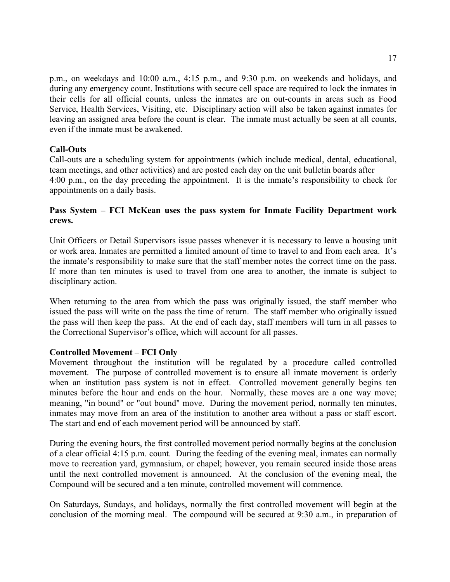p.m., on weekdays and 10:00 a.m., 4:15 p.m., and 9:30 p.m. on weekends and holidays, and during any emergency count. Institutions with secure cell space are required to lock the inmates in their cells for all official counts, unless the inmates are on out-counts in areas such as Food Service, Health Services, Visiting, etc. Disciplinary action will also be taken against inmates for leaving an assigned area before the count is clear. The inmate must actually be seen at all counts, even if the inmate must be awakened.

# **Call-Outs**

Call-outs are a scheduling system for appointments (which include medical, dental, educational, team meetings, and other activities) and are posted each day on the unit bulletin boards after 4:00 p.m., on the day preceding the appointment. It is the inmate's responsibility to check for appointments on a daily basis.

# **Pass System – FCI McKean uses the pass system for Inmate Facility Department work crews.**

Unit Officers or Detail Supervisors issue passes whenever it is necessary to leave a housing unit or work area. Inmates are permitted a limited amount of time to travel to and from each area. It's the inmate's responsibility to make sure that the staff member notes the correct time on the pass. If more than ten minutes is used to travel from one area to another, the inmate is subject to disciplinary action.

When returning to the area from which the pass was originally issued, the staff member who issued the pass will write on the pass the time of return. The staff member who originally issued the pass will then keep the pass. At the end of each day, staff members will turn in all passes to the Correctional Supervisor's office, which will account for all passes.

## **Controlled Movement – FCI Only**

Movement throughout the institution will be regulated by a procedure called controlled movement. The purpose of controlled movement is to ensure all inmate movement is orderly when an institution pass system is not in effect. Controlled movement generally begins ten minutes before the hour and ends on the hour. Normally, these moves are a one way move; meaning, "in bound" or "out bound" move. During the movement period, normally ten minutes, inmates may move from an area of the institution to another area without a pass or staff escort. The start and end of each movement period will be announced by staff.

During the evening hours, the first controlled movement period normally begins at the conclusion of a clear official 4:15 p.m. count. During the feeding of the evening meal, inmates can normally move to recreation yard, gymnasium, or chapel; however, you remain secured inside those areas until the next controlled movement is announced. At the conclusion of the evening meal, the Compound will be secured and a ten minute, controlled movement will commence.

On Saturdays, Sundays, and holidays, normally the first controlled movement will begin at the conclusion of the morning meal. The compound will be secured at 9:30 a.m., in preparation of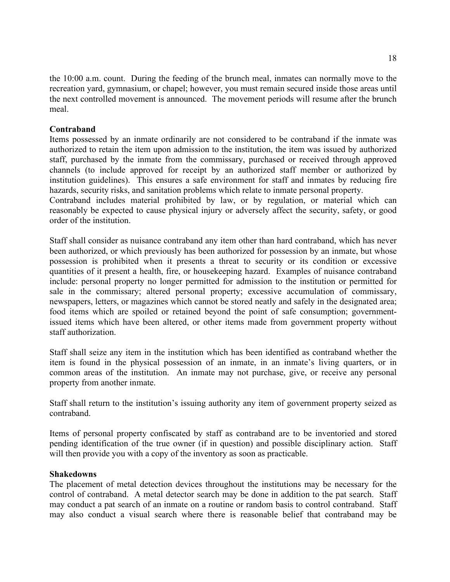the 10:00 a.m. count. During the feeding of the brunch meal, inmates can normally move to the recreation yard, gymnasium, or chapel; however, you must remain secured inside those areas until the next controlled movement is announced. The movement periods will resume after the brunch meal.

## **Contraband**

Items possessed by an inmate ordinarily are not considered to be contraband if the inmate was authorized to retain the item upon admission to the institution, the item was issued by authorized staff, purchased by the inmate from the commissary, purchased or received through approved channels (to include approved for receipt by an authorized staff member or authorized by institution guidelines). This ensures a safe environment for staff and inmates by reducing fire hazards, security risks, and sanitation problems which relate to inmate personal property.

Contraband includes material prohibited by law, or by regulation, or material which can reasonably be expected to cause physical injury or adversely affect the security, safety, or good order of the institution.

Staff shall consider as nuisance contraband any item other than hard contraband, which has never been authorized, or which previously has been authorized for possession by an inmate, but whose possession is prohibited when it presents a threat to security or its condition or excessive quantities of it present a health, fire, or housekeeping hazard. Examples of nuisance contraband include: personal property no longer permitted for admission to the institution or permitted for sale in the commissary; altered personal property; excessive accumulation of commissary, newspapers, letters, or magazines which cannot be stored neatly and safely in the designated area; food items which are spoiled or retained beyond the point of safe consumption; governmentissued items which have been altered, or other items made from government property without staff authorization.

Staff shall seize any item in the institution which has been identified as contraband whether the item is found in the physical possession of an inmate, in an inmate's living quarters, or in common areas of the institution. An inmate may not purchase, give, or receive any personal property from another inmate.

Staff shall return to the institution's issuing authority any item of government property seized as contraband.

Items of personal property confiscated by staff as contraband are to be inventoried and stored pending identification of the true owner (if in question) and possible disciplinary action. Staff will then provide you with a copy of the inventory as soon as practicable.

## **Shakedowns**

The placement of metal detection devices throughout the institutions may be necessary for the control of contraband. A metal detector search may be done in addition to the pat search. Staff may conduct a pat search of an inmate on a routine or random basis to control contraband. Staff may also conduct a visual search where there is reasonable belief that contraband may be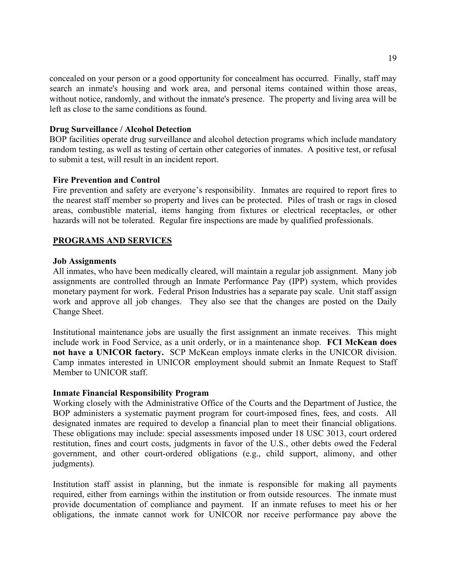concealed on your person or a good opportunity for concealment has occurred. Finally, staff may search an inmate's housing and work area, and personal items contained within those areas, without notice, randomly, and without the inmate's presence. The property and living area will be left as close to the same conditions as found.

## **Drug Surveillance / Alcohol Detection**

BOP facilities operate drug surveillance and alcohol detection programs which include mandatory random testing, as well as testing of certain other categories of inmates. A positive test, or refusal to submit a test, will result in an incident report.

#### **Fire Prevention and Control**

Fire prevention and safety are everyone's responsibility. Inmates are required to report fires to the nearest staff member so property and lives can be protected. Piles of trash or rags in closed areas, combustible material, items hanging from fixtures or electrical receptacles, or other hazards will not be tolerated. Regular fire inspections are made by qualified professionals.

#### **PROGRAMS AND SERVICES**

#### **Job Assignments**

All inmates, who have been medically cleared, will maintain a regular job assignment. Many job assignments are controlled through an Inmate Performance Pay (IPP) system, which provides monetary payment for work. Federal Prison Industries has a separate pay scale. Unit staff assign work and approve all job changes. They also see that the changes are posted on the Daily Change Sheet.

Institutional maintenance jobs are usually the first assignment an inmate receives. This might include work in Food Service, as a unit orderly, or in a maintenance shop. **FCI McKean does not have a UNICOR factory.** SCP McKean employs inmate clerks in the UNICOR division. Camp inmates interested in UNICOR employment should submit an Inmate Request to Staff Member to UNICOR staff.

#### **Inmate Financial Responsibility Program**

Working closely with the Administrative Office of the Courts and the Department of Justice, the BOP administers a systematic payment program for court-imposed fines, fees, and costs. All designated inmates are required to develop a financial plan to meet their financial obligations. These obligations may include: special assessments imposed under 18 USC 3013, court ordered restitution, fines and court costs, judgments in favor of the U.S., other debts owed the Federal government, and other court-ordered obligations (e.g., child support, alimony, and other judgments).

Institution staff assist in planning, but the inmate is responsible for making all payments required, either from earnings within the institution or from outside resources. The inmate must provide documentation of compliance and payment. If an inmate refuses to meet his or her obligations, the inmate cannot work for UNICOR nor receive performance pay above the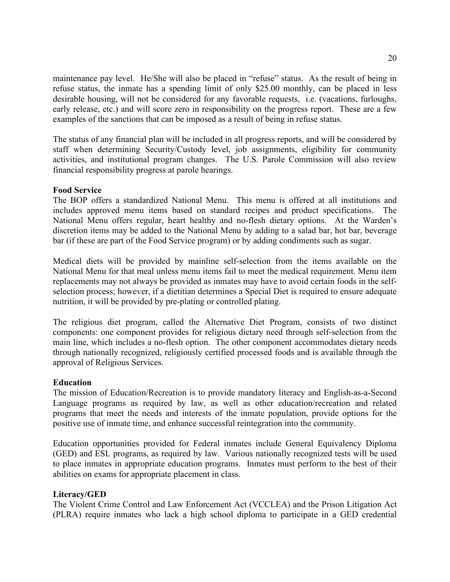maintenance pay level. He/She will also be placed in "refuse" status. As the result of being in refuse status, the inmate has a spending limit of only \$25.00 monthly, can be placed in less desirable housing, will not be considered for any favorable requests, i.e. (vacations, furloughs, early release, etc.) and will score zero in responsibility on the progress report. These are a few examples of the sanctions that can be imposed as a result of being in refuse status.

The status of any financial plan will be included in all progress reports, and will be considered by staff when determining Security/Custody level, job assignments, eligibility for community activities, and institutional program changes. The U.S. Parole Commission will also review financial responsibility progress at parole hearings.

## **Food Service**

The BOP offers a standardized National Menu. This menu is offered at all institutions and includes approved menu items based on standard recipes and product specifications. The National Menu offers regular, heart healthy and no-flesh dietary options. At the Warden's discretion items may be added to the National Menu by adding to a salad bar, hot bar, beverage bar (if these are part of the Food Service program) or by adding condiments such as sugar.

Medical diets will be provided by mainline self-selection from the items available on the National Menu for that meal unless menu items fail to meet the medical requirement. Menu item replacements may not always be provided as inmates may have to avoid certain foods in the selfselection process; however, if a dietitian determines a Special Diet is required to ensure adequate nutrition, it will be provided by pre-plating or controlled plating.

The religious diet program, called the Alternative Diet Program, consists of two distinct components: one component provides for religious dietary need through self-selection from the main line, which includes a no-flesh option. The other component accommodates dietary needs through nationally recognized, religiously certified processed foods and is available through the approval of Religious Services.

## **Education**

The mission of Education/Recreation is to provide mandatory literacy and English-as-a-Second Language programs as required by law, as well as other education/recreation and related programs that meet the needs and interests of the inmate population, provide options for the positive use of inmate time, and enhance successful reintegration into the community.

Education opportunities provided for Federal inmates include General Equivalency Diploma (GED) and ESL programs, as required by law. Various nationally recognized tests will be used to place inmates in appropriate education programs. Inmates must perform to the best of their abilities on exams for appropriate placement in class.

## **Literacy/GED**

The Violent Crime Control and Law Enforcement Act (VCCLEA) and the Prison Litigation Act (PLRA) require inmates who lack a high school diploma to participate in a GED credential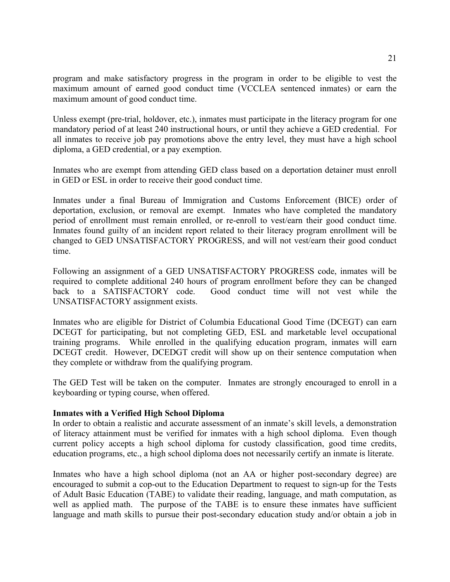program and make satisfactory progress in the program in order to be eligible to vest the maximum amount of earned good conduct time (VCCLEA sentenced inmates) or earn the maximum amount of good conduct time.

Unless exempt (pre-trial, holdover, etc.), inmates must participate in the literacy program for one mandatory period of at least 240 instructional hours, or until they achieve a GED credential. For all inmates to receive job pay promotions above the entry level, they must have a high school diploma, a GED credential, or a pay exemption.

Inmates who are exempt from attending GED class based on a deportation detainer must enroll in GED or ESL in order to receive their good conduct time.

Inmates under a final Bureau of Immigration and Customs Enforcement (BICE) order of deportation, exclusion, or removal are exempt. Inmates who have completed the mandatory period of enrollment must remain enrolled, or re-enroll to vest/earn their good conduct time. Inmates found guilty of an incident report related to their literacy program enrollment will be changed to GED UNSATISFACTORY PROGRESS, and will not vest/earn their good conduct time.

Following an assignment of a GED UNSATISFACTORY PROGRESS code, inmates will be required to complete additional 240 hours of program enrollment before they can be changed back to a SATISFACTORY code. Good conduct time will not vest while the UNSATISFACTORY assignment exists.

Inmates who are eligible for District of Columbia Educational Good Time (DCEGT) can earn DCEGT for participating, but not completing GED, ESL and marketable level occupational training programs. While enrolled in the qualifying education program, inmates will earn DCEGT credit. However, DCEDGT credit will show up on their sentence computation when they complete or withdraw from the qualifying program.

The GED Test will be taken on the computer. Inmates are strongly encouraged to enroll in a keyboarding or typing course, when offered.

# **Inmates with a Verified High School Diploma**

In order to obtain a realistic and accurate assessment of an inmate's skill levels, a demonstration of literacy attainment must be verified for inmates with a high school diploma. Even though current policy accepts a high school diploma for custody classification, good time credits, education programs, etc., a high school diploma does not necessarily certify an inmate is literate.

Inmates who have a high school diploma (not an AA or higher post-secondary degree) are encouraged to submit a cop-out to the Education Department to request to sign-up for the Tests of Adult Basic Education (TABE) to validate their reading, language, and math computation, as well as applied math. The purpose of the TABE is to ensure these inmates have sufficient language and math skills to pursue their post-secondary education study and/or obtain a job in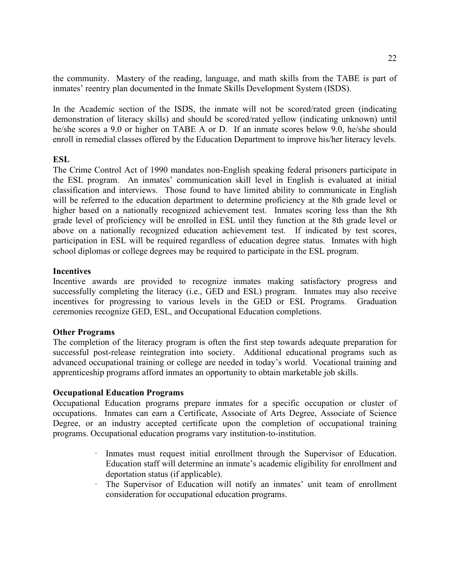the community. Mastery of the reading, language, and math skills from the TABE is part of inmates' reentry plan documented in the Inmate Skills Development System (ISDS).

In the Academic section of the ISDS, the inmate will not be scored/rated green (indicating demonstration of literacy skills) and should be scored/rated yellow (indicating unknown) until he/she scores a 9.0 or higher on TABE A or D. If an inmate scores below 9.0, he/she should enroll in remedial classes offered by the Education Department to improve his/her literacy levels.

# **ESL**

The Crime Control Act of 1990 mandates non-English speaking federal prisoners participate in the ESL program. An inmates' communication skill level in English is evaluated at initial classification and interviews. Those found to have limited ability to communicate in English will be referred to the education department to determine proficiency at the 8th grade level or higher based on a nationally recognized achievement test. Inmates scoring less than the 8th grade level of proficiency will be enrolled in ESL until they function at the 8th grade level or above on a nationally recognized education achievement test. If indicated by test scores, participation in ESL will be required regardless of education degree status. Inmates with high school diplomas or college degrees may be required to participate in the ESL program.

# **Incentives**

Incentive awards are provided to recognize inmates making satisfactory progress and successfully completing the literacy (i.e., GED and ESL) program. Inmates may also receive incentives for progressing to various levels in the GED or ESL Programs. Graduation ceremonies recognize GED, ESL, and Occupational Education completions.

# **Other Programs**

The completion of the literacy program is often the first step towards adequate preparation for successful post-release reintegration into society. Additional educational programs such as advanced occupational training or college are needed in today's world. Vocational training and apprenticeship programs afford inmates an opportunity to obtain marketable job skills.

# **Occupational Education Programs**

Occupational Education programs prepare inmates for a specific occupation or cluster of occupations. Inmates can earn a Certificate, Associate of Arts Degree, Associate of Science Degree, or an industry accepted certificate upon the completion of occupational training programs. Occupational education programs vary institution-to-institution.

- · Inmates must request initial enrollment through the Supervisor of Education. Education staff will determine an inmate's academic eligibility for enrollment and deportation status (if applicable).
- · The Supervisor of Education will notify an inmates' unit team of enrollment consideration for occupational education programs.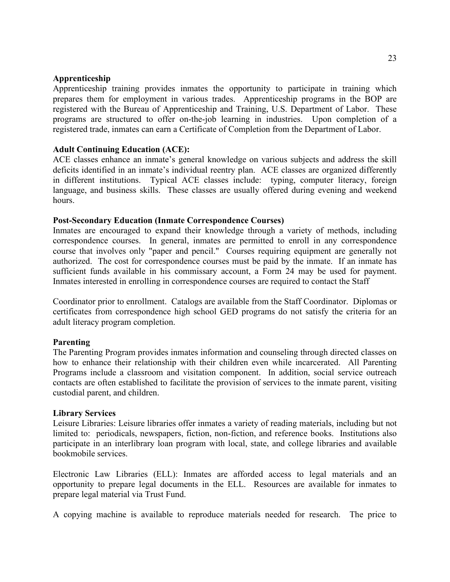## **Apprenticeship**

Apprenticeship training provides inmates the opportunity to participate in training which prepares them for employment in various trades. Apprenticeship programs in the BOP are registered with the Bureau of Apprenticeship and Training, U.S. Department of Labor. These programs are structured to offer on-the-job learning in industries.Upon completion of a registered trade, inmates can earn a Certificate of Completion from the Department of Labor.

## **Adult Continuing Education (ACE):**

ACE classes enhance an inmate's general knowledge on various subjects and address the skill deficits identified in an inmate's individual reentry plan. ACE classes are organized differently in different institutions. Typical ACE classes include: typing, computer literacy, foreign language, and business skills. These classes are usually offered during evening and weekend hours.

## **Post-Secondary Education (Inmate Correspondence Courses)**

Inmates are encouraged to expand their knowledge through a variety of methods, including correspondence courses. In general, inmates are permitted to enroll in any correspondence course that involves only "paper and pencil." Courses requiring equipment are generally not authorized. The cost for correspondence courses must be paid by the inmate. If an inmate has sufficient funds available in his commissary account, a Form 24 may be used for payment. Inmates interested in enrolling in correspondence courses are required to contact the Staff

Coordinator prior to enrollment. Catalogs are available from the Staff Coordinator. Diplomas or certificates from correspondence high school GED programs do not satisfy the criteria for an adult literacy program completion.

## **Parenting**

The Parenting Program provides inmates information and counseling through directed classes on how to enhance their relationship with their children even while incarcerated. All Parenting Programs include a classroom and visitation component. In addition, social service outreach contacts are often established to facilitate the provision of services to the inmate parent, visiting custodial parent, and children.

## **Library Services**

Leisure Libraries: Leisure libraries offer inmates a variety of reading materials, including but not limited to: periodicals, newspapers, fiction, non-fiction, and reference books. Institutions also participate in an interlibrary loan program with local, state, and college libraries and available bookmobile services.

Electronic Law Libraries (ELL): Inmates are afforded access to legal materials and an opportunity to prepare legal documents in the ELL. Resources are available for inmates to prepare legal material via Trust Fund.

A copying machine is available to reproduce materials needed for research. The price to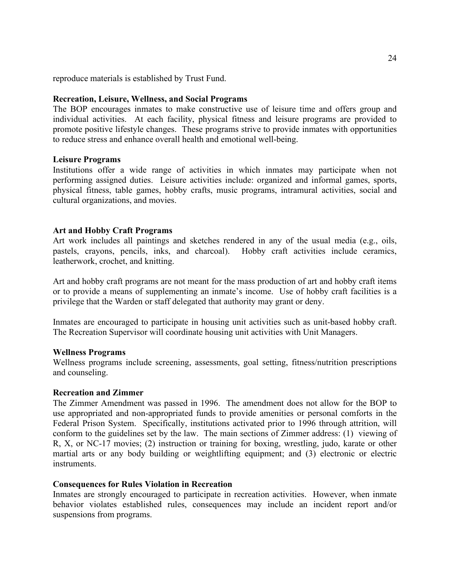reproduce materials is established by Trust Fund.

## **Recreation, Leisure, Wellness, and Social Programs**

The BOP encourages inmates to make constructive use of leisure time and offers group and individual activities. At each facility, physical fitness and leisure programs are provided to promote positive lifestyle changes. These programs strive to provide inmates with opportunities to reduce stress and enhance overall health and emotional well-being.

## **Leisure Programs**

Institutions offer a wide range of activities in which inmates may participate when not performing assigned duties. Leisure activities include: organized and informal games, sports, physical fitness, table games, hobby crafts, music programs, intramural activities, social and cultural organizations, and movies.

## **Art and Hobby Craft Programs**

Art work includes all paintings and sketches rendered in any of the usual media (e.g., oils, pastels, crayons, pencils, inks, and charcoal). Hobby craft activities include ceramics, leatherwork, crochet, and knitting.

Art and hobby craft programs are not meant for the mass production of art and hobby craft items or to provide a means of supplementing an inmate's income. Use of hobby craft facilities is a privilege that the Warden or staff delegated that authority may grant or deny.

Inmates are encouraged to participate in housing unit activities such as unit-based hobby craft. The Recreation Supervisor will coordinate housing unit activities with Unit Managers.

## **Wellness Programs**

Wellness programs include screening, assessments, goal setting, fitness/nutrition prescriptions and counseling.

## **Recreation and Zimmer**

The Zimmer Amendment was passed in 1996. The amendment does not allow for the BOP to use appropriated and non-appropriated funds to provide amenities or personal comforts in the Federal Prison System. Specifically, institutions activated prior to 1996 through attrition, will conform to the guidelines set by the law. The main sections of Zimmer address: (1) viewing of R, X, or NC-17 movies; (2) instruction or training for boxing, wrestling, judo, karate or other martial arts or any body building or weightlifting equipment; and (3) electronic or electric instruments.

## **Consequences for Rules Violation in Recreation**

Inmates are strongly encouraged to participate in recreation activities. However, when inmate behavior violates established rules, consequences may include an incident report and/or suspensions from programs.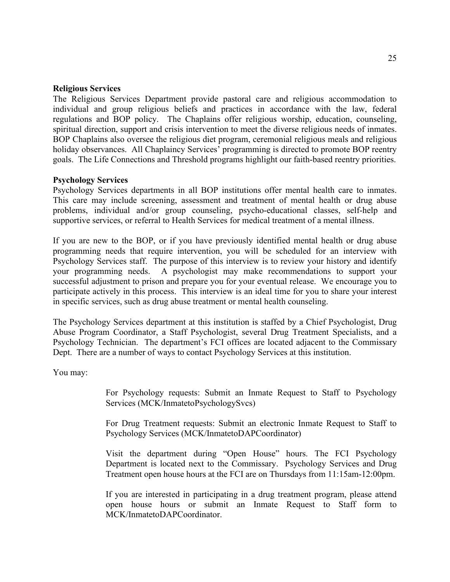## **Religious Services**

The Religious Services Department provide pastoral care and religious accommodation to individual and group religious beliefs and practices in accordance with the law, federal regulations and BOP policy. The Chaplains offer religious worship, education, counseling, spiritual direction, support and crisis intervention to meet the diverse religious needs of inmates. BOP Chaplains also oversee the religious diet program, ceremonial religious meals and religious holiday observances. All Chaplaincy Services' programming is directed to promote BOP reentry goals. The Life Connections and Threshold programs highlight our faith-based reentry priorities.

## **Psychology Services**

Psychology Services departments in all BOP institutions offer mental health care to inmates. This care may include screening, assessment and treatment of mental health or drug abuse problems, individual and/or group counseling, psycho-educational classes, self-help and supportive services, or referral to Health Services for medical treatment of a mental illness.

If you are new to the BOP, or if you have previously identified mental health or drug abuse programming needs that require intervention, you will be scheduled for an interview with Psychology Services staff. The purpose of this interview is to review your history and identify your programming needs. A psychologist may make recommendations to support your successful adjustment to prison and prepare you for your eventual release. We encourage you to participate actively in this process. This interview is an ideal time for you to share your interest in specific services, such as drug abuse treatment or mental health counseling.

The Psychology Services department at this institution is staffed by a Chief Psychologist, Drug Abuse Program Coordinator, a Staff Psychologist, several Drug Treatment Specialists, and a Psychology Technician. The department's FCI offices are located adjacent to the Commissary Dept. There are a number of ways to contact Psychology Services at this institution.

You may:

For Psychology requests: Submit an Inmate Request to Staff to Psychology Services (MCK/InmatetoPsychologySvcs)

For Drug Treatment requests: Submit an electronic Inmate Request to Staff to Psychology Services (MCK/InmatetoDAPCoordinator)

Visit the department during "Open House" hours. The FCI Psychology Department is located next to the Commissary. Psychology Services and Drug Treatment open house hours at the FCI are on Thursdays from 11:15am-12:00pm.

If you are interested in participating in a drug treatment program, please attend open house hours or submit an Inmate Request to Staff form to MCK/InmatetoDAPCoordinator.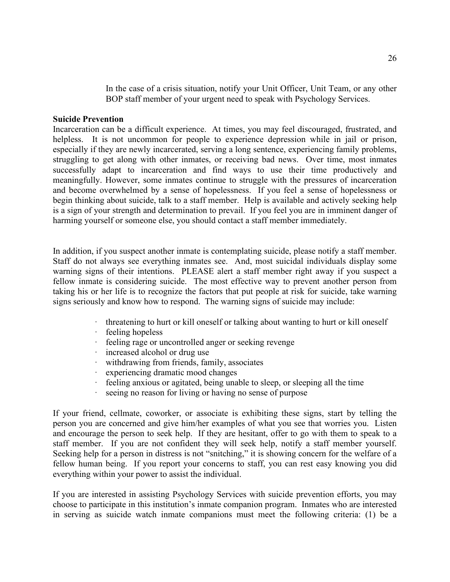In the case of a crisis situation, notify your Unit Officer, Unit Team, or any other BOP staff member of your urgent need to speak with Psychology Services.

## **Suicide Prevention**

Incarceration can be a difficult experience. At times, you may feel discouraged, frustrated, and helpless. It is not uncommon for people to experience depression while in jail or prison, especially if they are newly incarcerated, serving a long sentence, experiencing family problems, struggling to get along with other inmates, or receiving bad news. Over time, most inmates successfully adapt to incarceration and find ways to use their time productively and meaningfully. However, some inmates continue to struggle with the pressures of incarceration and become overwhelmed by a sense of hopelessness. If you feel a sense of hopelessness or begin thinking about suicide, talk to a staff member. Help is available and actively seeking help is a sign of your strength and determination to prevail. If you feel you are in imminent danger of harming yourself or someone else, you should contact a staff member immediately.

In addition, if you suspect another inmate is contemplating suicide, please notify a staff member. Staff do not always see everything inmates see. And, most suicidal individuals display some warning signs of their intentions. PLEASE alert a staff member right away if you suspect a fellow inmate is considering suicide. The most effective way to prevent another person from taking his or her life is to recognize the factors that put people at risk for suicide, take warning signs seriously and know how to respond. The warning signs of suicide may include:

- · threatening to hurt or kill oneself or talking about wanting to hurt or kill oneself
- · feeling hopeless
- · feeling rage or uncontrolled anger or seeking revenge
- · increased alcohol or drug use<br>· withdrawing from friends, fan
- withdrawing from friends, family, associates
- experiencing dramatic mood changes
- · feeling anxious or agitated, being unable to sleep, or sleeping all the time
- seeing no reason for living or having no sense of purpose

If your friend, cellmate, coworker, or associate is exhibiting these signs, start by telling the person you are concerned and give him/her examples of what you see that worries you. Listen and encourage the person to seek help. If they are hesitant, offer to go with them to speak to a staff member. If you are not confident they will seek help, notify a staff member yourself. Seeking help for a person in distress is not "snitching," it is showing concern for the welfare of a fellow human being. If you report your concerns to staff, you can rest easy knowing you did everything within your power to assist the individual.

If you are interested in assisting Psychology Services with suicide prevention efforts, you may choose to participate in this institution's inmate companion program. Inmates who are interested in serving as suicide watch inmate companions must meet the following criteria: (1) be a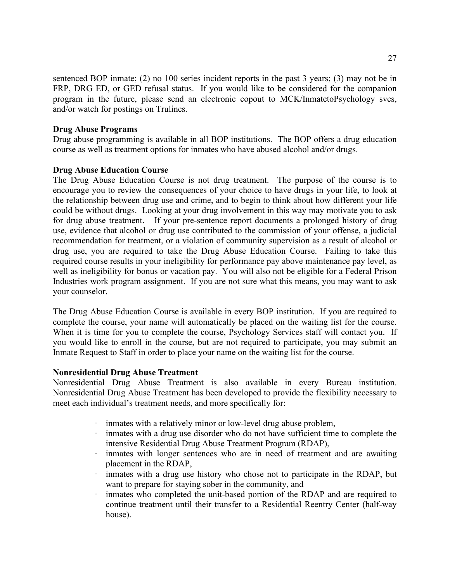sentenced BOP inmate; (2) no 100 series incident reports in the past 3 years; (3) may not be in FRP, DRG ED, or GED refusal status. If you would like to be considered for the companion program in the future, please send an electronic copout to MCK/InmatetoPsychology svcs, and/or watch for postings on Trulincs.

## **Drug Abuse Programs**

Drug abuse programming is available in all BOP institutions. The BOP offers a drug education course as well as treatment options for inmates who have abused alcohol and/or drugs.

# **Drug Abuse Education Course**

The Drug Abuse Education Course is not drug treatment. The purpose of the course is to encourage you to review the consequences of your choice to have drugs in your life, to look at the relationship between drug use and crime, and to begin to think about how different your life could be without drugs. Looking at your drug involvement in this way may motivate you to ask for drug abuse treatment. If your pre-sentence report documents a prolonged history of drug use, evidence that alcohol or drug use contributed to the commission of your offense, a judicial recommendation for treatment, or a violation of community supervision as a result of alcohol or drug use, you are required to take the Drug Abuse Education Course. Failing to take this required course results in your ineligibility for performance pay above maintenance pay level, as well as ineligibility for bonus or vacation pay. You will also not be eligible for a Federal Prison Industries work program assignment. If you are not sure what this means, you may want to ask your counselor.

The Drug Abuse Education Course is available in every BOP institution. If you are required to complete the course, your name will automatically be placed on the waiting list for the course. When it is time for you to complete the course, Psychology Services staff will contact you. If you would like to enroll in the course, but are not required to participate, you may submit an Inmate Request to Staff in order to place your name on the waiting list for the course.

## **Nonresidential Drug Abuse Treatment**

Nonresidential Drug Abuse Treatment is also available in every Bureau institution. Nonresidential Drug Abuse Treatment has been developed to provide the flexibility necessary to meet each individual's treatment needs, and more specifically for:

- · inmates with a relatively minor or low-level drug abuse problem,
- inmates with a drug use disorder who do not have sufficient time to complete the intensive Residential Drug Abuse Treatment Program (RDAP),
- · inmates with longer sentences who are in need of treatment and are awaiting placement in the RDAP,
- inmates with a drug use history who chose not to participate in the RDAP, but want to prepare for staying sober in the community, and
- inmates who completed the unit-based portion of the RDAP and are required to continue treatment until their transfer to a Residential Reentry Center (half-way house).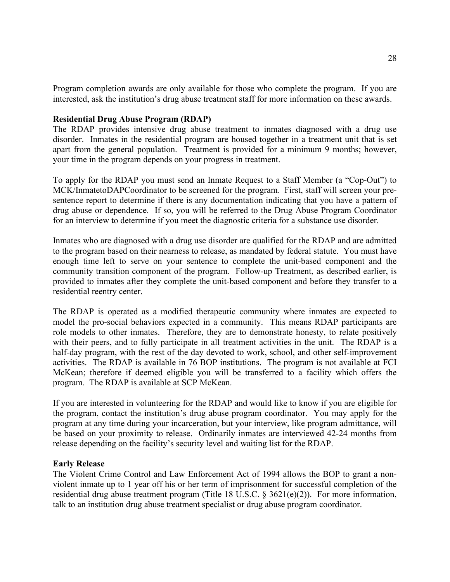Program completion awards are only available for those who complete the program. If you are interested, ask the institution's drug abuse treatment staff for more information on these awards.

## **Residential Drug Abuse Program (RDAP)**

The RDAP provides intensive drug abuse treatment to inmates diagnosed with a drug use disorder. Inmates in the residential program are housed together in a treatment unit that is set apart from the general population. Treatment is provided for a minimum 9 months; however, your time in the program depends on your progress in treatment.

To apply for the RDAP you must send an Inmate Request to a Staff Member (a "Cop-Out") to MCK/InmatetoDAPCoordinator to be screened for the program. First, staff will screen your presentence report to determine if there is any documentation indicating that you have a pattern of drug abuse or dependence. If so, you will be referred to the Drug Abuse Program Coordinator for an interview to determine if you meet the diagnostic criteria for a substance use disorder.

Inmates who are diagnosed with a drug use disorder are qualified for the RDAP and are admitted to the program based on their nearness to release, as mandated by federal statute. You must have enough time left to serve on your sentence to complete the unit-based component and the community transition component of the program. Follow-up Treatment, as described earlier, is provided to inmates after they complete the unit-based component and before they transfer to a residential reentry center.

The RDAP is operated as a modified therapeutic community where inmates are expected to model the pro-social behaviors expected in a community. This means RDAP participants are role models to other inmates. Therefore, they are to demonstrate honesty, to relate positively with their peers, and to fully participate in all treatment activities in the unit. The RDAP is a half-day program, with the rest of the day devoted to work, school, and other self-improvement activities. The RDAP is available in 76 BOP institutions. The program is not available at FCI McKean; therefore if deemed eligible you will be transferred to a facility which offers the program. The RDAP is available at SCP McKean.

If you are interested in volunteering for the RDAP and would like to know if you are eligible for the program, contact the institution's drug abuse program coordinator. You may apply for the program at any time during your incarceration, but your interview, like program admittance, will be based on your proximity to release. Ordinarily inmates are interviewed 42-24 months from release depending on the facility's security level and waiting list for the RDAP.

# **Early Release**

The Violent Crime Control and Law Enforcement Act of 1994 allows the BOP to grant a nonviolent inmate up to 1 year off his or her term of imprisonment for successful completion of the residential drug abuse treatment program (Title 18 U.S.C. § 3621(e)(2)). For more information, talk to an institution drug abuse treatment specialist or drug abuse program coordinator.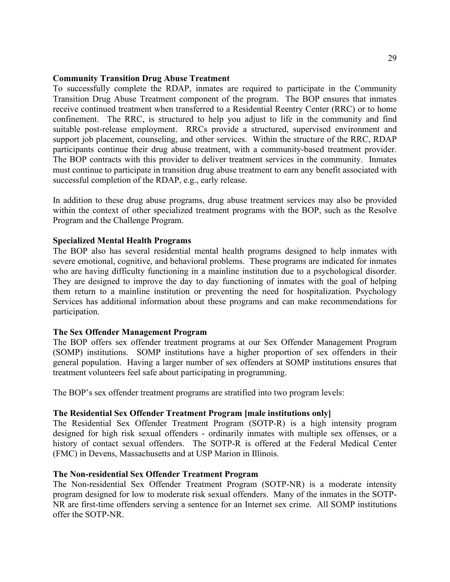## **Community Transition Drug Abuse Treatment**

To successfully complete the RDAP, inmates are required to participate in the Community Transition Drug Abuse Treatment component of the program. The BOP ensures that inmates receive continued treatment when transferred to a Residential Reentry Center (RRC) or to home confinement. The RRC, is structured to help you adjust to life in the community and find suitable post-release employment. RRCs provide a structured, supervised environment and support job placement, counseling, and other services. Within the structure of the RRC, RDAP participants continue their drug abuse treatment, with a community-based treatment provider. The BOP contracts with this provider to deliver treatment services in the community. Inmates must continue to participate in transition drug abuse treatment to earn any benefit associated with successful completion of the RDAP, e.g., early release.

In addition to these drug abuse programs, drug abuse treatment services may also be provided within the context of other specialized treatment programs with the BOP, such as the Resolve Program and the Challenge Program.

#### **Specialized Mental Health Programs**

The BOP also has several residential mental health programs designed to help inmates with severe emotional, cognitive, and behavioral problems. These programs are indicated for inmates who are having difficulty functioning in a mainline institution due to a psychological disorder. They are designed to improve the day to day functioning of inmates with the goal of helping them return to a mainline institution or preventing the need for hospitalization. Psychology Services has additional information about these programs and can make recommendations for participation.

## **The Sex Offender Management Program**

The BOP offers sex offender treatment programs at our Sex Offender Management Program (SOMP) institutions. SOMP institutions have a higher proportion of sex offenders in their general population. Having a larger number of sex offenders at SOMP institutions ensures that treatment volunteers feel safe about participating in programming.

The BOP's sex offender treatment programs are stratified into two program levels:

#### **The Residential Sex Offender Treatment Program [male institutions only]**

The Residential Sex Offender Treatment Program (SOTP-R) is a high intensity program designed for high risk sexual offenders - ordinarily inmates with multiple sex offenses, or a history of contact sexual offenders. The SOTP-R is offered at the Federal Medical Center (FMC) in Devens, Massachusetts and at USP Marion in Illinois.

#### **The Non-residential Sex Offender Treatment Program**

The Non-residential Sex Offender Treatment Program (SOTP-NR) is a moderate intensity program designed for low to moderate risk sexual offenders. Many of the inmates in the SOTP-NR are first-time offenders serving a sentence for an Internet sex crime. All SOMP institutions offer the SOTP-NR.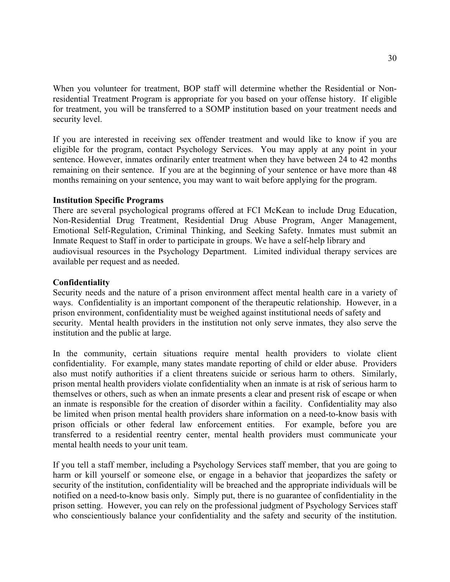When you volunteer for treatment, BOP staff will determine whether the Residential or Nonresidential Treatment Program is appropriate for you based on your offense history. If eligible for treatment, you will be transferred to a SOMP institution based on your treatment needs and security level.

If you are interested in receiving sex offender treatment and would like to know if you are eligible for the program, contact Psychology Services. You may apply at any point in your sentence. However, inmates ordinarily enter treatment when they have between 24 to 42 months remaining on their sentence. If you are at the beginning of your sentence or have more than 48 months remaining on your sentence, you may want to wait before applying for the program.

## **Institution Specific Programs**

There are several psychological programs offered at FCI McKean to include Drug Education, Non-Residential Drug Treatment, Residential Drug Abuse Program, Anger Management, Emotional Self-Regulation, Criminal Thinking, and Seeking Safety. Inmates must submit an Inmate Request to Staff in order to participate in groups. We have a self-help library and audiovisual resources in the Psychology Department. Limited individual therapy services are available per request and as needed.

## **Confidentiality**

Security needs and the nature of a prison environment affect mental health care in a variety of ways. Confidentiality is an important component of the therapeutic relationship. However, in a prison environment, confidentiality must be weighed against institutional needs of safety and security. Mental health providers in the institution not only serve inmates, they also serve the institution and the public at large.

In the community, certain situations require mental health providers to violate client confidentiality. For example, many states mandate reporting of child or elder abuse. Providers also must notify authorities if a client threatens suicide or serious harm to others. Similarly, prison mental health providers violate confidentiality when an inmate is at risk of serious harm to themselves or others, such as when an inmate presents a clear and present risk of escape or when an inmate is responsible for the creation of disorder within a facility. Confidentiality may also be limited when prison mental health providers share information on a need-to-know basis with prison officials or other federal law enforcement entities. For example, before you are transferred to a residential reentry center, mental health providers must communicate your mental health needs to your unit team.

If you tell a staff member, including a Psychology Services staff member, that you are going to harm or kill yourself or someone else, or engage in a behavior that jeopardizes the safety or security of the institution, confidentiality will be breached and the appropriate individuals will be notified on a need-to-know basis only. Simply put, there is no guarantee of confidentiality in the prison setting. However, you can rely on the professional judgment of Psychology Services staff who conscientiously balance your confidentiality and the safety and security of the institution.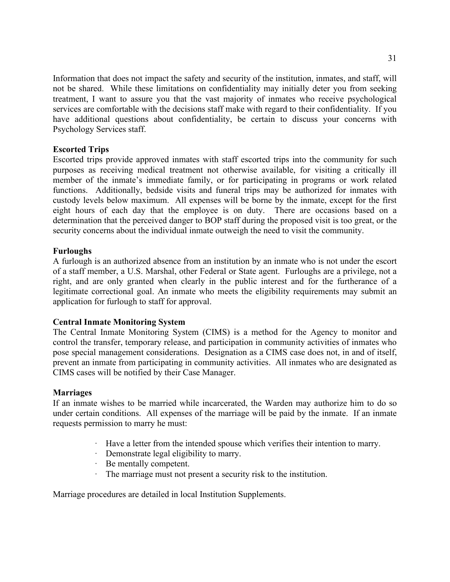Information that does not impact the safety and security of the institution, inmates, and staff, will not be shared. While these limitations on confidentiality may initially deter you from seeking treatment, I want to assure you that the vast majority of inmates who receive psychological services are comfortable with the decisions staff make with regard to their confidentiality. If you have additional questions about confidentiality, be certain to discuss your concerns with Psychology Services staff.

# **Escorted Trips**

Escorted trips provide approved inmates with staff escorted trips into the community for such purposes as receiving medical treatment not otherwise available, for visiting a critically ill member of the inmate's immediate family, or for participating in programs or work related functions. Additionally, bedside visits and funeral trips may be authorized for inmates with custody levels below maximum. All expenses will be borne by the inmate, except for the first eight hours of each day that the employee is on duty. There are occasions based on a determination that the perceived danger to BOP staff during the proposed visit is too great, or the security concerns about the individual inmate outweigh the need to visit the community.

# **Furloughs**

A furlough is an authorized absence from an institution by an inmate who is not under the escort of a staff member, a U.S. Marshal, other Federal or State agent. Furloughs are a privilege, not a right, and are only granted when clearly in the public interest and for the furtherance of a legitimate correctional goal. An inmate who meets the eligibility requirements may submit an application for furlough to staff for approval.

# **Central Inmate Monitoring System**

The Central Inmate Monitoring System (CIMS) is a method for the Agency to monitor and control the transfer, temporary release, and participation in community activities of inmates who pose special management considerations. Designation as a CIMS case does not, in and of itself, prevent an inmate from participating in community activities. All inmates who are designated as CIMS cases will be notified by their Case Manager.

# **Marriages**

If an inmate wishes to be married while incarcerated, the Warden may authorize him to do so under certain conditions. All expenses of the marriage will be paid by the inmate. If an inmate requests permission to marry he must:

- · Have a letter from the intended spouse which verifies their intention to marry.
- · Demonstrate legal eligibility to marry.
- · Be mentally competent.<br>• The marriage must not n
- The marriage must not present a security risk to the institution.

Marriage procedures are detailed in local Institution Supplements.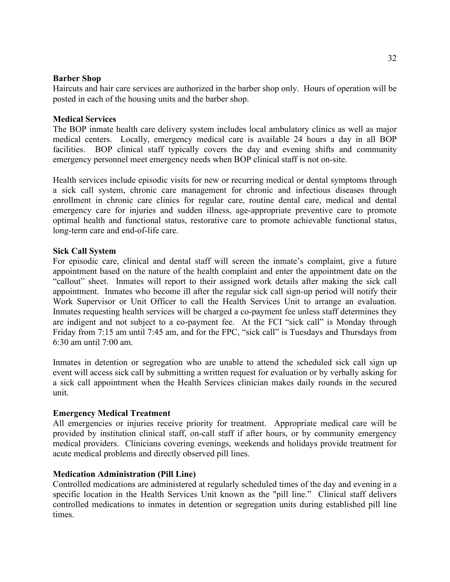## **Barber Shop**

Haircuts and hair care services are authorized in the barber shop only. Hours of operation will be posted in each of the housing units and the barber shop.

# **Medical Services**

The BOP inmate health care delivery system includes local ambulatory clinics as well as major medical centers. Locally, emergency medical care is available 24 hours a day in all BOP facilities. BOP clinical staff typically covers the day and evening shifts and community emergency personnel meet emergency needs when BOP clinical staff is not on-site.

Health services include episodic visits for new or recurring medical or dental symptoms through a sick call system, chronic care management for chronic and infectious diseases through enrollment in chronic care clinics for regular care, routine dental care, medical and dental emergency care for injuries and sudden illness, age-appropriate preventive care to promote optimal health and functional status, restorative care to promote achievable functional status, long-term care and end-of-life care.

#### **Sick Call System**

For episodic care, clinical and dental staff will screen the inmate's complaint, give a future appointment based on the nature of the health complaint and enter the appointment date on the "callout" sheet. Inmates will report to their assigned work details after making the sick call appointment. Inmates who become ill after the regular sick call sign-up period will notify their Work Supervisor or Unit Officer to call the Health Services Unit to arrange an evaluation. Inmates requesting health services will be charged a co-payment fee unless staff determines they are indigent and not subject to a co-payment fee. At the FCI "sick call" is Monday through Friday from 7:15 am until 7:45 am, and for the FPC, "sick call" is Tuesdays and Thursdays from 6:30 am until 7:00 am.

Inmates in detention or segregation who are unable to attend the scheduled sick call sign up event will access sick call by submitting a written request for evaluation or by verbally asking for a sick call appointment when the Health Services clinician makes daily rounds in the secured unit.

## **Emergency Medical Treatment**

All emergencies or injuries receive priority for treatment. Appropriate medical care will be provided by institution clinical staff, on-call staff if after hours, or by community emergency medical providers. Clinicians covering evenings, weekends and holidays provide treatment for acute medical problems and directly observed pill lines.

## **Medication Administration (Pill Line)**

Controlled medications are administered at regularly scheduled times of the day and evening in a specific location in the Health Services Unit known as the "pill line." Clinical staff delivers controlled medications to inmates in detention or segregation units during established pill line times.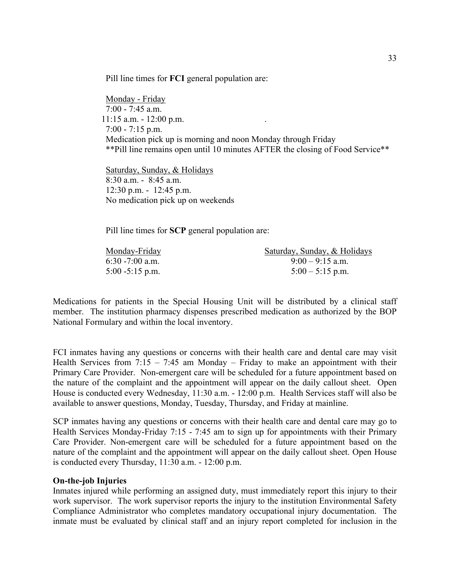Pill line times for **FCI** general population are:

Monday - Friday 7:00 - 7:45 a.m. 11:15 a.m. - 12:00 p.m. . 7:00 - 7:15 p.m. Medication pick up is morning and noon Monday through Friday \*\*Pill line remains open until 10 minutes AFTER the closing of Food Service\*\*

Saturday, Sunday, & Holidays 8:30 a.m. - 8:45 a.m. 12:30 p.m. - 12:45 p.m. No medication pick up on weekends

Pill line times for **SCP** general population are:

| Monday-Friday      | Saturday, Sunday, & Holidays |
|--------------------|------------------------------|
| 6:30 -7:00 a.m.    | $9:00 - 9:15$ a.m.           |
| $5:00 - 5:15$ p.m. | $5:00 - 5:15$ p.m.           |

Medications for patients in the Special Housing Unit will be distributed by a clinical staff member. The institution pharmacy dispenses prescribed medication as authorized by the BOP National Formulary and within the local inventory.

FCI inmates having any questions or concerns with their health care and dental care may visit Health Services from  $7:15 - 7:45$  am Monday – Friday to make an appointment with their Primary Care Provider. Non-emergent care will be scheduled for a future appointment based on the nature of the complaint and the appointment will appear on the daily callout sheet. Open House is conducted every Wednesday, 11:30 a.m. - 12:00 p.m. Health Services staff will also be available to answer questions, Monday, Tuesday, Thursday, and Friday at mainline.

SCP inmates having any questions or concerns with their health care and dental care may go to Health Services Monday-Friday 7:15 - 7:45 am to sign up for appointments with their Primary Care Provider. Non-emergent care will be scheduled for a future appointment based on the nature of the complaint and the appointment will appear on the daily callout sheet. Open House is conducted every Thursday, 11:30 a.m. - 12:00 p.m.

# **On-the-job Injuries**

Inmates injured while performing an assigned duty, must immediately report this injury to their work supervisor. The work supervisor reports the injury to the institution Environmental Safety Compliance Administrator who completes mandatory occupational injury documentation. The inmate must be evaluated by clinical staff and an injury report completed for inclusion in the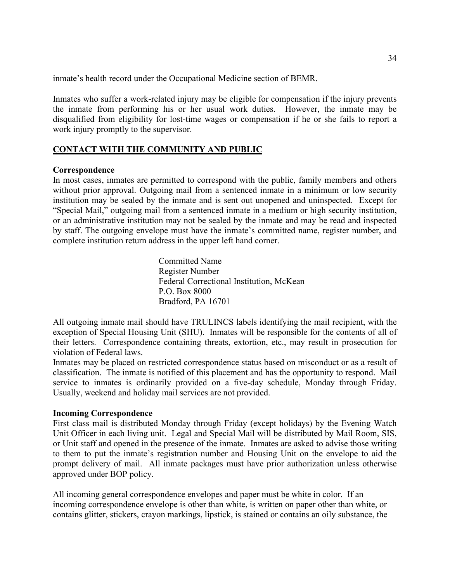inmate's health record under the Occupational Medicine section of BEMR.

Inmates who suffer a work-related injury may be eligible for compensation if the injury prevents the inmate from performing his or her usual work duties. However, the inmate may be disqualified from eligibility for lost-time wages or compensation if he or she fails to report a work injury promptly to the supervisor.

# **CONTACT WITH THE COMMUNITY AND PUBLIC**

## **Correspondence**

In most cases, inmates are permitted to correspond with the public, family members and others without prior approval. Outgoing mail from a sentenced inmate in a minimum or low security institution may be sealed by the inmate and is sent out unopened and uninspected. Except for "Special Mail," outgoing mail from a sentenced inmate in a medium or high security institution, or an administrative institution may not be sealed by the inmate and may be read and inspected by staff. The outgoing envelope must have the inmate's committed name, register number, and complete institution return address in the upper left hand corner.

> Committed Name Register Number Federal Correctional Institution, McKean P.O. Box 8000 Bradford, PA 16701

All outgoing inmate mail should have TRULINCS labels identifying the mail recipient, with the exception of Special Housing Unit (SHU). Inmates will be responsible for the contents of all of their letters. Correspondence containing threats, extortion, etc., may result in prosecution for violation of Federal laws.

Inmates may be placed on restricted correspondence status based on misconduct or as a result of classification. The inmate is notified of this placement and has the opportunity to respond. Mail service to inmates is ordinarily provided on a five-day schedule, Monday through Friday. Usually, weekend and holiday mail services are not provided.

## **Incoming Correspondence**

First class mail is distributed Monday through Friday (except holidays) by the Evening Watch Unit Officer in each living unit. Legal and Special Mail will be distributed by Mail Room, SIS, or Unit staff and opened in the presence of the inmate. Inmates are asked to advise those writing to them to put the inmate's registration number and Housing Unit on the envelope to aid the prompt delivery of mail. All inmate packages must have prior authorization unless otherwise approved under BOP policy.

All incoming general correspondence envelopes and paper must be white in color. If an incoming correspondence envelope is other than white, is written on paper other than white, or contains glitter, stickers, crayon markings, lipstick, is stained or contains an oily substance, the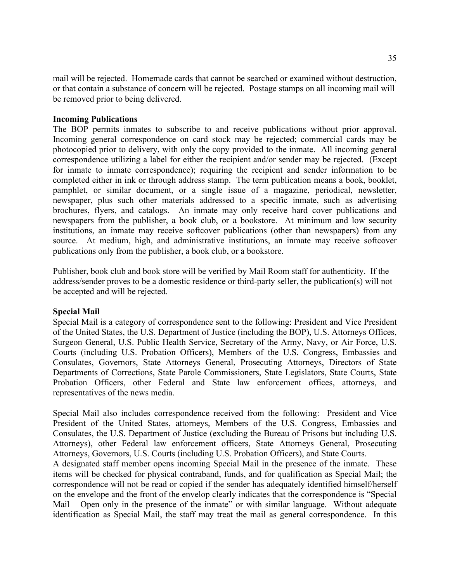mail will be rejected. Homemade cards that cannot be searched or examined without destruction, or that contain a substance of concern will be rejected. Postage stamps on all incoming mail will be removed prior to being delivered.

## **Incoming Publications**

The BOP permits inmates to subscribe to and receive publications without prior approval. Incoming general correspondence on card stock may be rejected; commercial cards may be photocopied prior to delivery, with only the copy provided to the inmate. All incoming general correspondence utilizing a label for either the recipient and/or sender may be rejected. (Except for inmate to inmate correspondence); requiring the recipient and sender information to be completed either in ink or through address stamp. The term publication means a book, booklet, pamphlet, or similar document, or a single issue of a magazine, periodical, newsletter, newspaper, plus such other materials addressed to a specific inmate, such as advertising brochures, flyers, and catalogs. An inmate may only receive hard cover publications and newspapers from the publisher, a book club, or a bookstore. At minimum and low security institutions, an inmate may receive softcover publications (other than newspapers) from any source. At medium, high, and administrative institutions, an inmate may receive softcover publications only from the publisher, a book club, or a bookstore.

Publisher, book club and book store will be verified by Mail Room staff for authenticity. If the address/sender proves to be a domestic residence or third-party seller, the publication(s) will not be accepted and will be rejected.

#### **Special Mail**

Special Mail is a category of correspondence sent to the following: President and Vice President of the United States, the U.S. Department of Justice (including the BOP), U.S. Attorneys Offices, Surgeon General, U.S. Public Health Service, Secretary of the Army, Navy, or Air Force, U.S. Courts (including U.S. Probation Officers), Members of the U.S. Congress, Embassies and Consulates, Governors, State Attorneys General, Prosecuting Attorneys, Directors of State Departments of Corrections, State Parole Commissioners, State Legislators, State Courts, State Probation Officers, other Federal and State law enforcement offices, attorneys, and representatives of the news media.

Special Mail also includes correspondence received from the following: President and Vice President of the United States, attorneys, Members of the U.S. Congress, Embassies and Consulates, the U.S. Department of Justice (excluding the Bureau of Prisons but including U.S. Attorneys), other Federal law enforcement officers, State Attorneys General, Prosecuting Attorneys, Governors, U.S. Courts (including U.S. Probation Officers), and State Courts.

A designated staff member opens incoming Special Mail in the presence of the inmate. These items will be checked for physical contraband, funds, and for qualification as Special Mail; the correspondence will not be read or copied if the sender has adequately identified himself/herself on the envelope and the front of the envelop clearly indicates that the correspondence is "Special Mail – Open only in the presence of the inmate" or with similar language. Without adequate identification as Special Mail, the staff may treat the mail as general correspondence. In this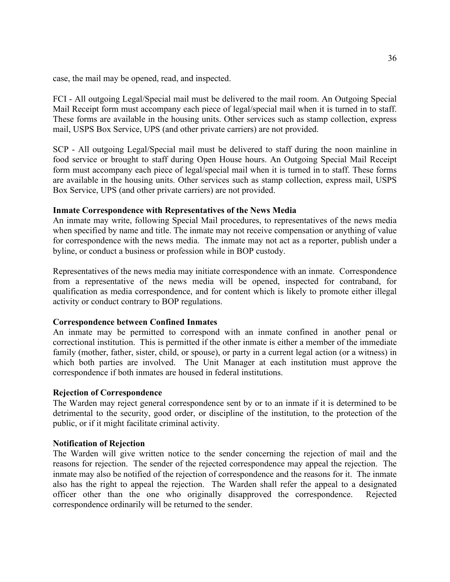case, the mail may be opened, read, and inspected.

FCI - All outgoing Legal/Special mail must be delivered to the mail room. An Outgoing Special Mail Receipt form must accompany each piece of legal/special mail when it is turned in to staff. These forms are available in the housing units. Other services such as stamp collection, express mail, USPS Box Service, UPS (and other private carriers) are not provided.

SCP - All outgoing Legal/Special mail must be delivered to staff during the noon mainline in food service or brought to staff during Open House hours. An Outgoing Special Mail Receipt form must accompany each piece of legal/special mail when it is turned in to staff. These forms are available in the housing units. Other services such as stamp collection, express mail, USPS Box Service, UPS (and other private carriers) are not provided.

# **Inmate Correspondence with Representatives of the News Media**

An inmate may write, following Special Mail procedures, to representatives of the news media when specified by name and title. The inmate may not receive compensation or anything of value for correspondence with the news media. The inmate may not act as a reporter, publish under a byline, or conduct a business or profession while in BOP custody.

Representatives of the news media may initiate correspondence with an inmate. Correspondence from a representative of the news media will be opened, inspected for contraband, for qualification as media correspondence, and for content which is likely to promote either illegal activity or conduct contrary to BOP regulations.

# **Correspondence between Confined Inmates**

An inmate may be permitted to correspond with an inmate confined in another penal or correctional institution. This is permitted if the other inmate is either a member of the immediate family (mother, father, sister, child, or spouse), or party in a current legal action (or a witness) in which both parties are involved. The Unit Manager at each institution must approve the correspondence if both inmates are housed in federal institutions.

# **Rejection of Correspondence**

The Warden may reject general correspondence sent by or to an inmate if it is determined to be detrimental to the security, good order, or discipline of the institution, to the protection of the public, or if it might facilitate criminal activity.

## **Notification of Rejection**

The Warden will give written notice to the sender concerning the rejection of mail and the reasons for rejection. The sender of the rejected correspondence may appeal the rejection. The inmate may also be notified of the rejection of correspondence and the reasons for it. The inmate also has the right to appeal the rejection. The Warden shall refer the appeal to a designated officer other than the one who originally disapproved the correspondence. Rejected correspondence ordinarily will be returned to the sender.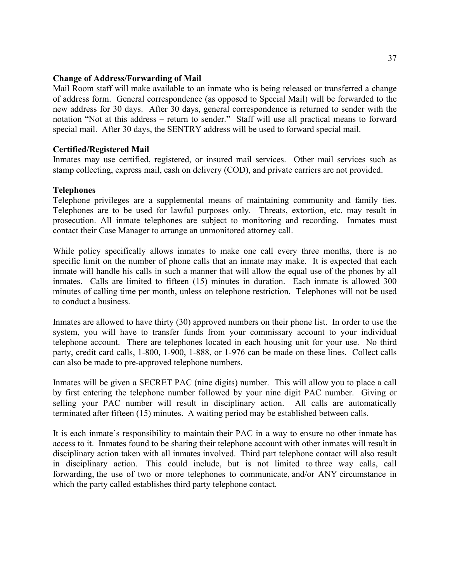#### **Change of Address/Forwarding of Mail**

Mail Room staff will make available to an inmate who is being released or transferred a change of address form. General correspondence (as opposed to Special Mail) will be forwarded to the new address for 30 days. After 30 days, general correspondence is returned to sender with the notation "Not at this address – return to sender." Staff will use all practical means to forward special mail. After 30 days, the SENTRY address will be used to forward special mail.

#### **Certified/Registered Mail**

Inmates may use certified, registered, or insured mail services. Other mail services such as stamp collecting, express mail, cash on delivery (COD), and private carriers are not provided.

#### **Telephones**

Telephone privileges are a supplemental means of maintaining community and family ties. Telephones are to be used for lawful purposes only. Threats, extortion, etc. may result in prosecution. All inmate telephones are subject to monitoring and recording. Inmates must contact their Case Manager to arrange an unmonitored attorney call.

While policy specifically allows inmates to make one call every three months, there is no specific limit on the number of phone calls that an inmate may make. It is expected that each inmate will handle his calls in such a manner that will allow the equal use of the phones by all inmates. Calls are limited to fifteen (15) minutes in duration. Each inmate is allowed 300 minutes of calling time per month, unless on telephone restriction. Telephones will not be used to conduct a business.

Inmates are allowed to have thirty (30) approved numbers on their phone list. In order to use the system, you will have to transfer funds from your commissary account to your individual telephone account. There are telephones located in each housing unit for your use. No third party, credit card calls, 1-800, 1-900, 1-888, or 1-976 can be made on these lines. Collect calls can also be made to pre-approved telephone numbers.

Inmates will be given a SECRET PAC (nine digits) number. This will allow you to place a call by first entering the telephone number followed by your nine digit PAC number. Giving or selling your PAC number will result in disciplinary action. All calls are automatically terminated after fifteen (15) minutes. A waiting period may be established between calls.

It is each inmate's responsibility to maintain their PAC in a way to ensure no other inmate has access to it. Inmates found to be sharing their telephone account with other inmates will result in disciplinary action taken with all inmates involved. Third part telephone contact will also result in disciplinary action. This could include, but is not limited to three way calls, call forwarding, the use of two or more telephones to communicate, and/or ANY circumstance in which the party called establishes third party telephone contact.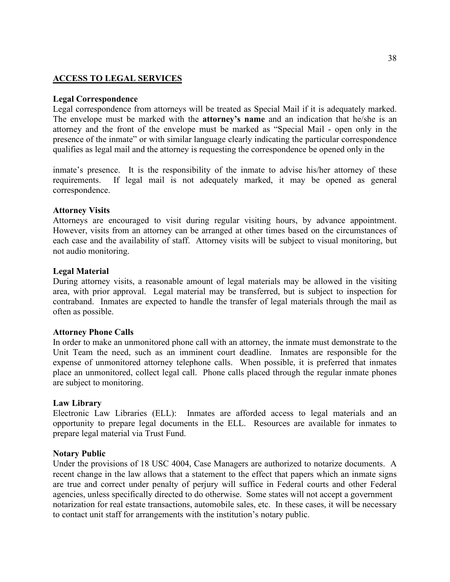## **ACCESS TO LEGAL SERVICES**

#### **Legal Correspondence**

Legal correspondence from attorneys will be treated as Special Mail if it is adequately marked. The envelope must be marked with the **attorney's name** and an indication that he/she is an attorney and the front of the envelope must be marked as "Special Mail - open only in the presence of the inmate" or with similar language clearly indicating the particular correspondence qualifies as legal mail and the attorney is requesting the correspondence be opened only in the

inmate's presence. It is the responsibility of the inmate to advise his/her attorney of these requirements. If legal mail is not adequately marked, it may be opened as general correspondence.

#### **Attorney Visits**

Attorneys are encouraged to visit during regular visiting hours, by advance appointment. However, visits from an attorney can be arranged at other times based on the circumstances of each case and the availability of staff. Attorney visits will be subject to visual monitoring, but not audio monitoring.

#### **Legal Material**

During attorney visits, a reasonable amount of legal materials may be allowed in the visiting area, with prior approval. Legal material may be transferred, but is subject to inspection for contraband. Inmates are expected to handle the transfer of legal materials through the mail as often as possible.

#### **Attorney Phone Calls**

In order to make an unmonitored phone call with an attorney, the inmate must demonstrate to the Unit Team the need, such as an imminent court deadline. Inmates are responsible for the expense of unmonitored attorney telephone calls. When possible, it is preferred that inmates place an unmonitored, collect legal call. Phone calls placed through the regular inmate phones are subject to monitoring.

#### **Law Library**

Electronic Law Libraries (ELL): Inmates are afforded access to legal materials and an opportunity to prepare legal documents in the ELL. Resources are available for inmates to prepare legal material via Trust Fund.

### **Notary Public**

Under the provisions of 18 USC 4004, Case Managers are authorized to notarize documents. A recent change in the law allows that a statement to the effect that papers which an inmate signs are true and correct under penalty of perjury will suffice in Federal courts and other Federal agencies, unless specifically directed to do otherwise. Some states will not accept a government notarization for real estate transactions, automobile sales, etc. In these cases, it will be necessary to contact unit staff for arrangements with the institution's notary public.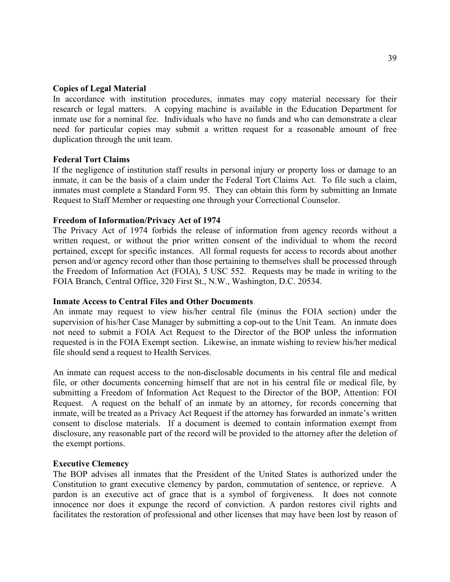#### **Copies of Legal Material**

In accordance with institution procedures, inmates may copy material necessary for their research or legal matters. A copying machine is available in the Education Department for inmate use for a nominal fee. Individuals who have no funds and who can demonstrate a clear need for particular copies may submit a written request for a reasonable amount of free duplication through the unit team.

#### **Federal Tort Claims**

If the negligence of institution staff results in personal injury or property loss or damage to an inmate, it can be the basis of a claim under the Federal Tort Claims Act. To file such a claim, inmates must complete a Standard Form 95. They can obtain this form by submitting an Inmate Request to Staff Member or requesting one through your Correctional Counselor.

#### **Freedom of Information/Privacy Act of 1974**

The Privacy Act of 1974 forbids the release of information from agency records without a written request, or without the prior written consent of the individual to whom the record pertained, except for specific instances. All formal requests for access to records about another person and/or agency record other than those pertaining to themselves shall be processed through the Freedom of Information Act (FOIA), 5 USC 552. Requests may be made in writing to the FOIA Branch, Central Office, 320 First St., N.W., Washington, D.C. 20534.

### **Inmate Access to Central Files and Other Documents**

An inmate may request to view his/her central file (minus the FOIA section) under the supervision of his/her Case Manager by submitting a cop-out to the Unit Team. An inmate does not need to submit a FOIA Act Request to the Director of the BOP unless the information requested is in the FOIA Exempt section. Likewise, an inmate wishing to review his/her medical file should send a request to Health Services.

An inmate can request access to the non-disclosable documents in his central file and medical file, or other documents concerning himself that are not in his central file or medical file, by submitting a Freedom of Information Act Request to the Director of the BOP, Attention: FOI Request. A request on the behalf of an inmate by an attorney, for records concerning that inmate, will be treated as a Privacy Act Request if the attorney has forwarded an inmate's written consent to disclose materials. If a document is deemed to contain information exempt from disclosure, any reasonable part of the record will be provided to the attorney after the deletion of the exempt portions.

#### **Executive Clemency**

The BOP advises all inmates that the President of the United States is authorized under the Constitution to grant executive clemency by pardon, commutation of sentence, or reprieve. A pardon is an executive act of grace that is a symbol of forgiveness. It does not connote innocence nor does it expunge the record of conviction. A pardon restores civil rights and facilitates the restoration of professional and other licenses that may have been lost by reason of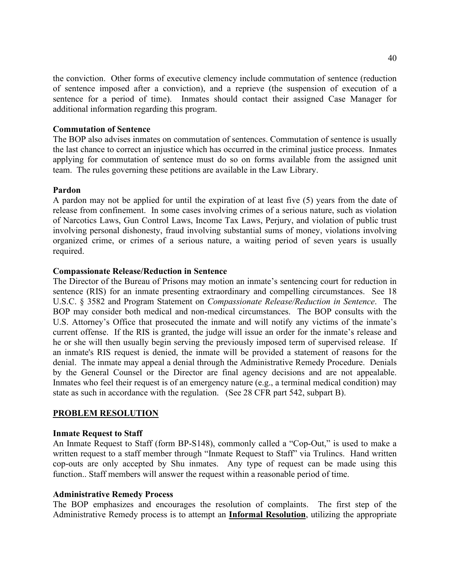the conviction. Other forms of executive clemency include commutation of sentence (reduction of sentence imposed after a conviction), and a reprieve (the suspension of execution of a sentence for a period of time). Inmates should contact their assigned Case Manager for additional information regarding this program.

#### **Commutation of Sentence**

The BOP also advises inmates on commutation of sentences. Commutation of sentence is usually the last chance to correct an injustice which has occurred in the criminal justice process. Inmates applying for commutation of sentence must do so on forms available from the assigned unit team. The rules governing these petitions are available in the Law Library.

#### **Pardon**

A pardon may not be applied for until the expiration of at least five (5) years from the date of release from confinement. In some cases involving crimes of a serious nature, such as violation of Narcotics Laws, Gun Control Laws, Income Tax Laws, Perjury, and violation of public trust involving personal dishonesty, fraud involving substantial sums of money, violations involving organized crime, or crimes of a serious nature, a waiting period of seven years is usually required.

#### **Compassionate Release/Reduction in Sentence**

The Director of the Bureau of Prisons may motion an inmate's sentencing court for reduction in sentence (RIS) for an inmate presenting extraordinary and compelling circumstances. See 18 U.S.C. § 3582 and Program Statement on *Compassionate Release/Reduction in Sentence*. The BOP may consider both medical and non-medical circumstances. The BOP consults with the U.S. Attorney's Office that prosecuted the inmate and will notify any victims of the inmate's current offense. If the RIS is granted, the judge will issue an order for the inmate's release and he or she will then usually begin serving the previously imposed term of supervised release. If an inmate's RIS request is denied, the inmate will be provided a statement of reasons for the denial. The inmate may appeal a denial through the Administrative Remedy Procedure. Denials by the General Counsel or the Director are final agency decisions and are not appealable. Inmates who feel their request is of an emergency nature (e.g., a terminal medical condition) may state as such in accordance with the regulation. (See 28 CFR part 542, subpart B).

### **PROBLEM RESOLUTION**

#### **Inmate Request to Staff**

An Inmate Request to Staff (form BP-S148), commonly called a "Cop-Out," is used to make a written request to a staff member through "Inmate Request to Staff" via Trulincs. Hand written cop-outs are only accepted by Shu inmates. Any type of request can be made using this function.. Staff members will answer the request within a reasonable period of time.

#### **Administrative Remedy Process**

The BOP emphasizes and encourages the resolution of complaints. The first step of the Administrative Remedy process is to attempt an **Informal Resolution**, utilizing the appropriate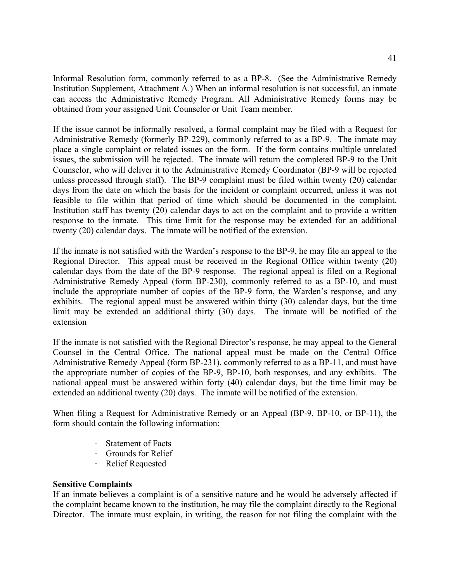Informal Resolution form, commonly referred to as a BP-8. (See the Administrative Remedy Institution Supplement, Attachment A.) When an informal resolution is not successful, an inmate can access the Administrative Remedy Program. All Administrative Remedy forms may be obtained from your assigned Unit Counselor or Unit Team member.

If the issue cannot be informally resolved, a formal complaint may be filed with a Request for Administrative Remedy (formerly BP-229), commonly referred to as a BP-9. The inmate may place a single complaint or related issues on the form. If the form contains multiple unrelated issues, the submission will be rejected. The inmate will return the completed BP-9 to the Unit Counselor, who will deliver it to the Administrative Remedy Coordinator (BP-9 will be rejected unless processed through staff). The BP-9 complaint must be filed within twenty (20) calendar days from the date on which the basis for the incident or complaint occurred, unless it was not feasible to file within that period of time which should be documented in the complaint. Institution staff has twenty (20) calendar days to act on the complaint and to provide a written response to the inmate. This time limit for the response may be extended for an additional twenty (20) calendar days. The inmate will be notified of the extension.

If the inmate is not satisfied with the Warden's response to the BP-9, he may file an appeal to the Regional Director. This appeal must be received in the Regional Office within twenty (20) calendar days from the date of the BP-9 response. The regional appeal is filed on a Regional Administrative Remedy Appeal (form BP-230), commonly referred to as a BP-10, and must include the appropriate number of copies of the BP-9 form, the Warden's response, and any exhibits. The regional appeal must be answered within thirty (30) calendar days, but the time limit may be extended an additional thirty (30) days. The inmate will be notified of the extension

If the inmate is not satisfied with the Regional Director's response, he may appeal to the General Counsel in the Central Office. The national appeal must be made on the Central Office Administrative Remedy Appeal (form BP-231), commonly referred to as a BP-11, and must have the appropriate number of copies of the BP-9, BP-10, both responses, and any exhibits. The national appeal must be answered within forty (40) calendar days, but the time limit may be extended an additional twenty (20) days. The inmate will be notified of the extension.

When filing a Request for Administrative Remedy or an Appeal (BP-9, BP-10, or BP-11), the form should contain the following information:

- · Statement of Facts<br>· Grounds for Relief
- Grounds for Relief
- **Relief Requested**

### **Sensitive Complaints**

If an inmate believes a complaint is of a sensitive nature and he would be adversely affected if the complaint became known to the institution, he may file the complaint directly to the Regional Director. The inmate must explain, in writing, the reason for not filing the complaint with the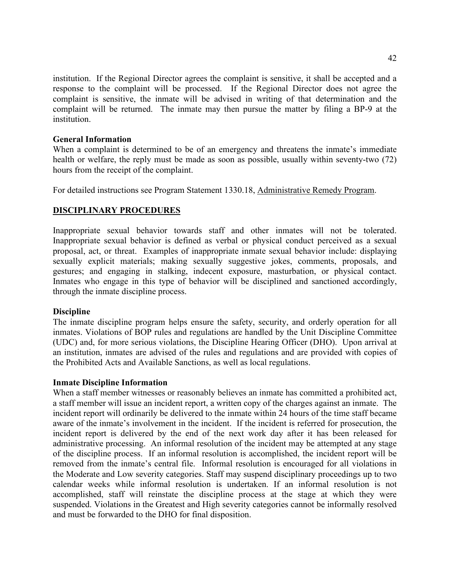institution. If the Regional Director agrees the complaint is sensitive, it shall be accepted and a response to the complaint will be processed. If the Regional Director does not agree the complaint is sensitive, the inmate will be advised in writing of that determination and the complaint will be returned. The inmate may then pursue the matter by filing a BP-9 at the institution.

#### **General Information**

When a complaint is determined to be of an emergency and threatens the inmate's immediate health or welfare, the reply must be made as soon as possible, usually within seventy-two (72) hours from the receipt of the complaint.

For detailed instructions see Program Statement 1330.18, Administrative Remedy Program.

### **DISCIPLINARY PROCEDURES**

Inappropriate sexual behavior towards staff and other inmates will not be tolerated. Inappropriate sexual behavior is defined as verbal or physical conduct perceived as a sexual proposal, act, or threat. Examples of inappropriate inmate sexual behavior include: displaying sexually explicit materials; making sexually suggestive jokes, comments, proposals, and gestures; and engaging in stalking, indecent exposure, masturbation, or physical contact. Inmates who engage in this type of behavior will be disciplined and sanctioned accordingly, through the inmate discipline process.

#### **Discipline**

The inmate discipline program helps ensure the safety, security, and orderly operation for all inmates. Violations of BOP rules and regulations are handled by the Unit Discipline Committee (UDC) and, for more serious violations, the Discipline Hearing Officer (DHO). Upon arrival at an institution, inmates are advised of the rules and regulations and are provided with copies of the Prohibited Acts and Available Sanctions, as well as local regulations.

#### **Inmate Discipline Information**

When a staff member witnesses or reasonably believes an inmate has committed a prohibited act, a staff member will issue an incident report, a written copy of the charges against an inmate. The incident report will ordinarily be delivered to the inmate within 24 hours of the time staff became aware of the inmate's involvement in the incident. If the incident is referred for prosecution, the incident report is delivered by the end of the next work day after it has been released for administrative processing. An informal resolution of the incident may be attempted at any stage of the discipline process. If an informal resolution is accomplished, the incident report will be removed from the inmate's central file. Informal resolution is encouraged for all violations in the Moderate and Low severity categories. Staff may suspend disciplinary proceedings up to two calendar weeks while informal resolution is undertaken. If an informal resolution is not accomplished, staff will reinstate the discipline process at the stage at which they were suspended. Violations in the Greatest and High severity categories cannot be informally resolved and must be forwarded to the DHO for final disposition.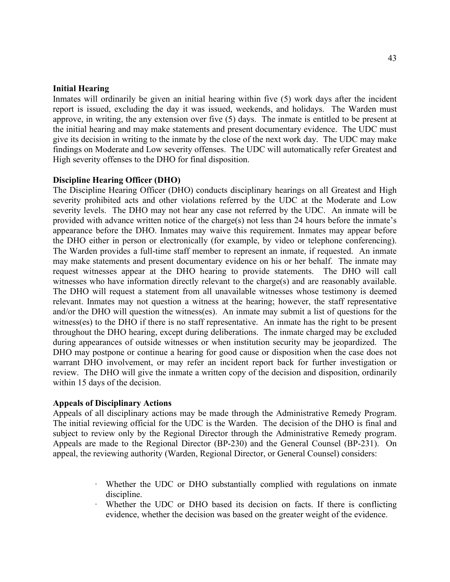#### **Initial Hearing**

Inmates will ordinarily be given an initial hearing within five (5) work days after the incident report is issued, excluding the day it was issued, weekends, and holidays. The Warden must approve, in writing, the any extension over five (5) days. The inmate is entitled to be present at the initial hearing and may make statements and present documentary evidence. The UDC must give its decision in writing to the inmate by the close of the next work day. The UDC may make findings on Moderate and Low severity offenses. The UDC will automatically refer Greatest and High severity offenses to the DHO for final disposition.

#### **Discipline Hearing Officer (DHO)**

The Discipline Hearing Officer (DHO) conducts disciplinary hearings on all Greatest and High severity prohibited acts and other violations referred by the UDC at the Moderate and Low severity levels. The DHO may not hear any case not referred by the UDC. An inmate will be provided with advance written notice of the charge(s) not less than 24 hours before the inmate's appearance before the DHO. Inmates may waive this requirement. Inmates may appear before the DHO either in person or electronically (for example, by video or telephone conferencing). The Warden provides a full-time staff member to represent an inmate, if requested. An inmate may make statements and present documentary evidence on his or her behalf. The inmate may request witnesses appear at the DHO hearing to provide statements. The DHO will call witnesses who have information directly relevant to the charge(s) and are reasonably available. The DHO will request a statement from all unavailable witnesses whose testimony is deemed relevant. Inmates may not question a witness at the hearing; however, the staff representative and/or the DHO will question the witness(es). An inmate may submit a list of questions for the witness(es) to the DHO if there is no staff representative. An inmate has the right to be present throughout the DHO hearing, except during deliberations. The inmate charged may be excluded during appearances of outside witnesses or when institution security may be jeopardized. The DHO may postpone or continue a hearing for good cause or disposition when the case does not warrant DHO involvement, or may refer an incident report back for further investigation or review. The DHO will give the inmate a written copy of the decision and disposition, ordinarily within 15 days of the decision.

#### **Appeals of Disciplinary Actions**

Appeals of all disciplinary actions may be made through the Administrative Remedy Program. The initial reviewing official for the UDC is the Warden. The decision of the DHO is final and subject to review only by the Regional Director through the Administrative Remedy program. Appeals are made to the Regional Director (BP-230) and the General Counsel (BP-231). On appeal, the reviewing authority (Warden, Regional Director, or General Counsel) considers:

- · Whether the UDC or DHO substantially complied with regulations on inmate discipline.
- Whether the UDC or DHO based its decision on facts. If there is conflicting evidence, whether the decision was based on the greater weight of the evidence.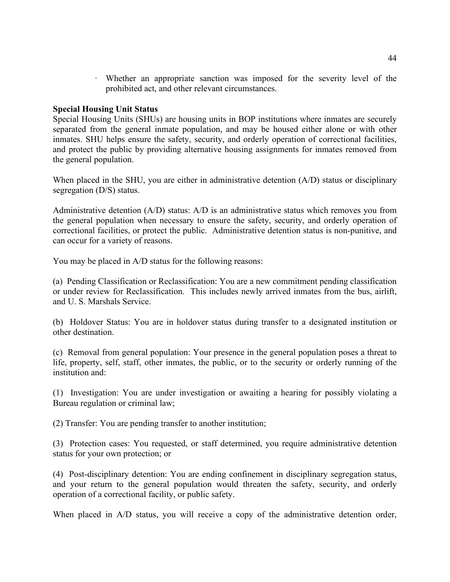· Whether an appropriate sanction was imposed for the severity level of the prohibited act, and other relevant circumstances.

#### **Special Housing Unit Status**

Special Housing Units (SHUs) are housing units in BOP institutions where inmates are securely separated from the general inmate population, and may be housed either alone or with other inmates. SHU helps ensure the safety, security, and orderly operation of correctional facilities, and protect the public by providing alternative housing assignments for inmates removed from the general population.

When placed in the SHU, you are either in administrative detention (A/D) status or disciplinary segregation (D/S) status.

Administrative detention (A/D) status: A/D is an administrative status which removes you from the general population when necessary to ensure the safety, security, and orderly operation of correctional facilities, or protect the public. Administrative detention status is non-punitive, and can occur for a variety of reasons.

You may be placed in A/D status for the following reasons:

(a) Pending Classification or Reclassification: You are a new commitment pending classification or under review for Reclassification. This includes newly arrived inmates from the bus, airlift, and U. S. Marshals Service.

(b) Holdover Status: You are in holdover status during transfer to a designated institution or other destination.

(c) Removal from general population: Your presence in the general population poses a threat to life, property, self, staff, other inmates, the public, or to the security or orderly running of the institution and:

(1) Investigation: You are under investigation or awaiting a hearing for possibly violating a Bureau regulation or criminal law;

(2) Transfer: You are pending transfer to another institution;

(3) Protection cases: You requested, or staff determined, you require administrative detention status for your own protection; or

(4) Post-disciplinary detention: You are ending confinement in disciplinary segregation status, and your return to the general population would threaten the safety, security, and orderly operation of a correctional facility, or public safety.

When placed in A/D status, you will receive a copy of the administrative detention order,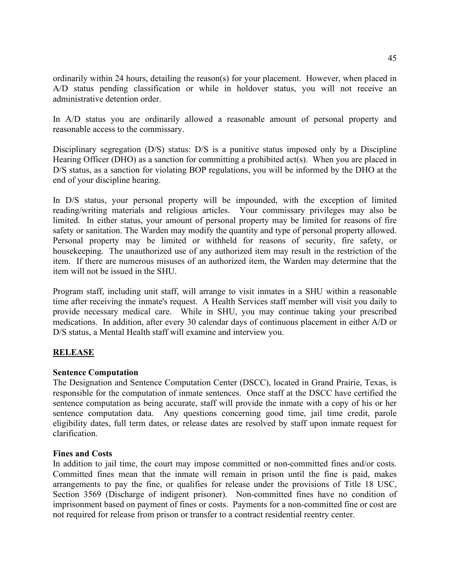ordinarily within 24 hours, detailing the reason(s) for your placement. However, when placed in A/D status pending classification or while in holdover status, you will not receive an administrative detention order.

In A/D status you are ordinarily allowed a reasonable amount of personal property and reasonable access to the commissary.

Disciplinary segregation (D/S) status: D/S is a punitive status imposed only by a Discipline Hearing Officer (DHO) as a sanction for committing a prohibited act(s). When you are placed in D/S status, as a sanction for violating BOP regulations, you will be informed by the DHO at the end of your discipline hearing.

In D/S status, your personal property will be impounded, with the exception of limited reading/writing materials and religious articles. Your commissary privileges may also be limited. In either status, your amount of personal property may be limited for reasons of fire safety or sanitation. The Warden may modify the quantity and type of personal property allowed. Personal property may be limited or withheld for reasons of security, fire safety, or housekeeping. The unauthorized use of any authorized item may result in the restriction of the item. If there are numerous misuses of an authorized item, the Warden may determine that the item will not be issued in the SHU.

Program staff, including unit staff, will arrange to visit inmates in a SHU within a reasonable time after receiving the inmate's request. A Health Services staff member will visit you daily to provide necessary medical care. While in SHU, you may continue taking your prescribed medications. In addition, after every 30 calendar days of continuous placement in either A/D or D/S status, a Mental Health staff will examine and interview you.

# **RELEASE**

### **Sentence Computation**

The Designation and Sentence Computation Center (DSCC), located in Grand Prairie, Texas, is responsible for the computation of inmate sentences. Once staff at the DSCC have certified the sentence computation as being accurate, staff will provide the inmate with a copy of his or her sentence computation data. Any questions concerning good time, jail time credit, parole eligibility dates, full term dates, or release dates are resolved by staff upon inmate request for clarification.

### **Fines and Costs**

In addition to jail time, the court may impose committed or non-committed fines and/or costs. Committed fines mean that the inmate will remain in prison until the fine is paid, makes arrangements to pay the fine, or qualifies for release under the provisions of Title 18 USC, Section 3569 (Discharge of indigent prisoner). Non-committed fines have no condition of imprisonment based on payment of fines or costs. Payments for a non-committed fine or cost are not required for release from prison or transfer to a contract residential reentry center.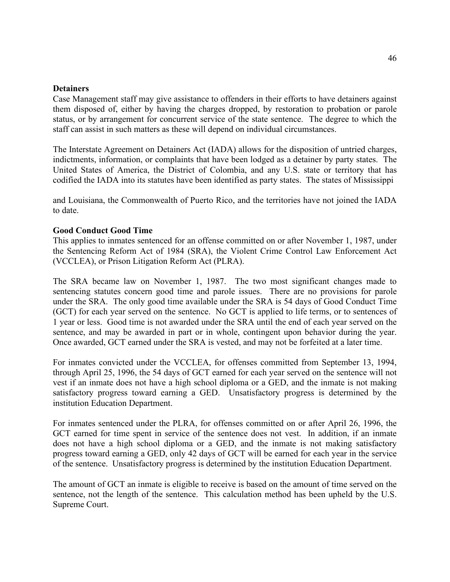#### **Detainers**

Case Management staff may give assistance to offenders in their efforts to have detainers against them disposed of, either by having the charges dropped, by restoration to probation or parole status, or by arrangement for concurrent service of the state sentence. The degree to which the staff can assist in such matters as these will depend on individual circumstances.

The Interstate Agreement on Detainers Act (IADA) allows for the disposition of untried charges, indictments, information, or complaints that have been lodged as a detainer by party states. The United States of America, the District of Colombia, and any U.S. state or territory that has codified the IADA into its statutes have been identified as party states. The states of Mississippi

and Louisiana, the Commonwealth of Puerto Rico, and the territories have not joined the IADA to date.

#### **Good Conduct Good Time**

This applies to inmates sentenced for an offense committed on or after November 1, 1987, under the Sentencing Reform Act of 1984 (SRA), the Violent Crime Control Law Enforcement Act (VCCLEA), or Prison Litigation Reform Act (PLRA).

The SRA became law on November 1, 1987. The two most significant changes made to sentencing statutes concern good time and parole issues. There are no provisions for parole under the SRA. The only good time available under the SRA is 54 days of Good Conduct Time (GCT) for each year served on the sentence. No GCT is applied to life terms, or to sentences of 1 year or less. Good time is not awarded under the SRA until the end of each year served on the sentence, and may be awarded in part or in whole, contingent upon behavior during the year. Once awarded, GCT earned under the SRA is vested, and may not be forfeited at a later time.

For inmates convicted under the VCCLEA, for offenses committed from September 13, 1994, through April 25, 1996, the 54 days of GCT earned for each year served on the sentence will not vest if an inmate does not have a high school diploma or a GED, and the inmate is not making satisfactory progress toward earning a GED. Unsatisfactory progress is determined by the institution Education Department.

For inmates sentenced under the PLRA, for offenses committed on or after April 26, 1996, the GCT earned for time spent in service of the sentence does not vest. In addition, if an inmate does not have a high school diploma or a GED, and the inmate is not making satisfactory progress toward earning a GED, only 42 days of GCT will be earned for each year in the service of the sentence. Unsatisfactory progress is determined by the institution Education Department.

The amount of GCT an inmate is eligible to receive is based on the amount of time served on the sentence, not the length of the sentence. This calculation method has been upheld by the U.S. Supreme Court.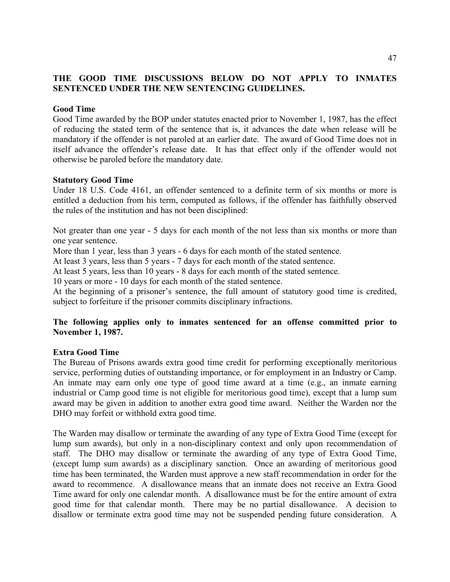# **THE GOOD TIME DISCUSSIONS BELOW DO NOT APPLY TO INMATES SENTENCED UNDER THE NEW SENTENCING GUIDELINES.**

#### **Good Time**

Good Time awarded by the BOP under statutes enacted prior to November 1, 1987, has the effect of reducing the stated term of the sentence that is, it advances the date when release will be mandatory if the offender is not paroled at an earlier date. The award of Good Time does not in itself advance the offender's release date. It has that effect only if the offender would not otherwise be paroled before the mandatory date.

#### **Statutory Good Time**

Under 18 U.S. Code 4161, an offender sentenced to a definite term of six months or more is entitled a deduction from his term, computed as follows, if the offender has faithfully observed the rules of the institution and has not been disciplined:

Not greater than one year - 5 days for each month of the not less than six months or more than one year sentence.

More than 1 year, less than 3 years - 6 days for each month of the stated sentence.

At least 3 years, less than 5 years - 7 days for each month of the stated sentence.

At least 5 years, less than 10 years - 8 days for each month of the stated sentence.

10 years or more - 10 days for each month of the stated sentence.

At the beginning of a prisoner's sentence, the full amount of statutory good time is credited, subject to forfeiture if the prisoner commits disciplinary infractions.

### **The following applies only to inmates sentenced for an offense committed prior to November 1, 1987.**

#### **Extra Good Time**

The Bureau of Prisons awards extra good time credit for performing exceptionally meritorious service, performing duties of outstanding importance, or for employment in an Industry or Camp. An inmate may earn only one type of good time award at a time (e.g., an inmate earning industrial or Camp good time is not eligible for meritorious good time), except that a lump sum award may be given in addition to another extra good time award. Neither the Warden nor the DHO may forfeit or withhold extra good time.

The Warden may disallow or terminate the awarding of any type of Extra Good Time (except for lump sum awards), but only in a non-disciplinary context and only upon recommendation of staff. The DHO may disallow or terminate the awarding of any type of Extra Good Time, (except lump sum awards) as a disciplinary sanction. Once an awarding of meritorious good time has been terminated, the Warden must approve a new staff recommendation in order for the award to recommence. A disallowance means that an inmate does not receive an Extra Good Time award for only one calendar month. A disallowance must be for the entire amount of extra good time for that calendar month. There may be no partial disallowance. A decision to disallow or terminate extra good time may not be suspended pending future consideration. A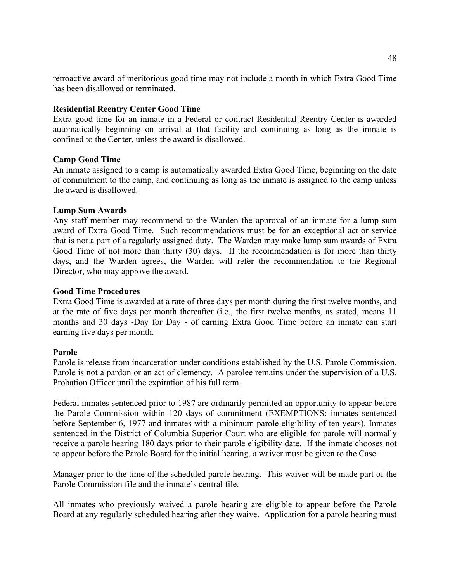retroactive award of meritorious good time may not include a month in which Extra Good Time has been disallowed or terminated.

### **Residential Reentry Center Good Time**

Extra good time for an inmate in a Federal or contract Residential Reentry Center is awarded automatically beginning on arrival at that facility and continuing as long as the inmate is confined to the Center, unless the award is disallowed.

#### **Camp Good Time**

An inmate assigned to a camp is automatically awarded Extra Good Time, beginning on the date of commitment to the camp, and continuing as long as the inmate is assigned to the camp unless the award is disallowed.

#### **Lump Sum Awards**

Any staff member may recommend to the Warden the approval of an inmate for a lump sum award of Extra Good Time. Such recommendations must be for an exceptional act or service that is not a part of a regularly assigned duty. The Warden may make lump sum awards of Extra Good Time of not more than thirty (30) days. If the recommendation is for more than thirty days, and the Warden agrees, the Warden will refer the recommendation to the Regional Director, who may approve the award.

#### **Good Time Procedures**

Extra Good Time is awarded at a rate of three days per month during the first twelve months, and at the rate of five days per month thereafter (i.e., the first twelve months, as stated, means 11 months and 30 days -Day for Day - of earning Extra Good Time before an inmate can start earning five days per month.

#### **Parole**

Parole is release from incarceration under conditions established by the U.S. Parole Commission. Parole is not a pardon or an act of clemency. A parolee remains under the supervision of a U.S. Probation Officer until the expiration of his full term.

Federal inmates sentenced prior to 1987 are ordinarily permitted an opportunity to appear before the Parole Commission within 120 days of commitment (EXEMPTIONS: inmates sentenced before September 6, 1977 and inmates with a minimum parole eligibility of ten years). Inmates sentenced in the District of Columbia Superior Court who are eligible for parole will normally receive a parole hearing 180 days prior to their parole eligibility date. If the inmate chooses not to appear before the Parole Board for the initial hearing, a waiver must be given to the Case

Manager prior to the time of the scheduled parole hearing. This waiver will be made part of the Parole Commission file and the inmate's central file.

All inmates who previously waived a parole hearing are eligible to appear before the Parole Board at any regularly scheduled hearing after they waive. Application for a parole hearing must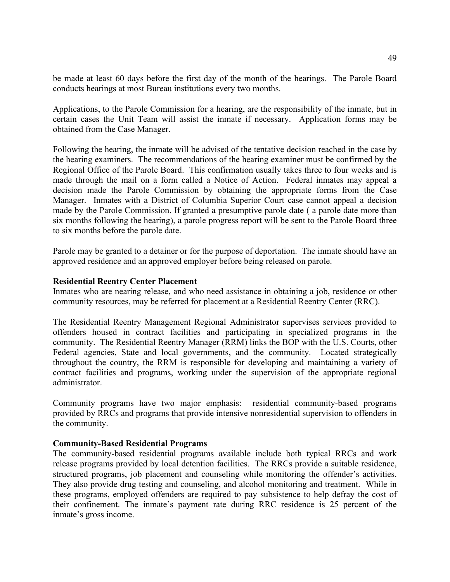be made at least 60 days before the first day of the month of the hearings. The Parole Board conducts hearings at most Bureau institutions every two months.

Applications, to the Parole Commission for a hearing, are the responsibility of the inmate, but in certain cases the Unit Team will assist the inmate if necessary. Application forms may be obtained from the Case Manager.

Following the hearing, the inmate will be advised of the tentative decision reached in the case by the hearing examiners. The recommendations of the hearing examiner must be confirmed by the Regional Office of the Parole Board. This confirmation usually takes three to four weeks and is made through the mail on a form called a Notice of Action. Federal inmates may appeal a decision made the Parole Commission by obtaining the appropriate forms from the Case Manager. Inmates with a District of Columbia Superior Court case cannot appeal a decision made by the Parole Commission. If granted a presumptive parole date (a parole date more than six months following the hearing), a parole progress report will be sent to the Parole Board three to six months before the parole date.

Parole may be granted to a detainer or for the purpose of deportation. The inmate should have an approved residence and an approved employer before being released on parole.

#### **Residential Reentry Center Placement**

Inmates who are nearing release, and who need assistance in obtaining a job, residence or other community resources, may be referred for placement at a Residential Reentry Center (RRC).

The Residential Reentry Management Regional Administrator supervises services provided to offenders housed in contract facilities and participating in specialized programs in the community. The Residential Reentry Manager (RRM) links the BOP with the U.S. Courts, other Federal agencies, State and local governments, and the community. Located strategically throughout the country, the RRM is responsible for developing and maintaining a variety of contract facilities and programs, working under the supervision of the appropriate regional administrator.

Community programs have two major emphasis: residential community-based programs provided by RRCs and programs that provide intensive nonresidential supervision to offenders in the community.

### **Community-Based Residential Programs**

The community-based residential programs available include both typical RRCs and work release programs provided by local detention facilities. The RRCs provide a suitable residence, structured programs, job placement and counseling while monitoring the offender's activities. They also provide drug testing and counseling, and alcohol monitoring and treatment. While in these programs, employed offenders are required to pay subsistence to help defray the cost of their confinement. The inmate's payment rate during RRC residence is 25 percent of the inmate's gross income.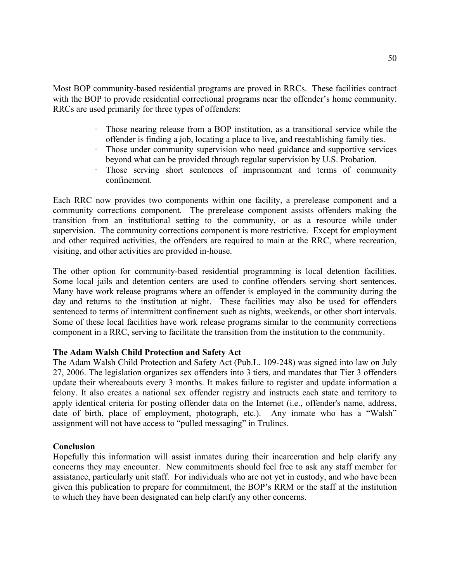Most BOP community-based residential programs are proved in RRCs. These facilities contract with the BOP to provide residential correctional programs near the offender's home community. RRCs are used primarily for three types of offenders:

- · Those nearing release from a BOP institution, as a transitional service while the offender is finding a job, locating a place to live, and reestablishing family ties.
- Those under community supervision who need guidance and supportive services beyond what can be provided through regular supervision by U.S. Probation.
- Those serving short sentences of imprisonment and terms of community confinement.

Each RRC now provides two components within one facility, a prerelease component and a community corrections component. The prerelease component assists offenders making the transition from an institutional setting to the community, or as a resource while under supervision. The community corrections component is more restrictive. Except for employment and other required activities, the offenders are required to main at the RRC, where recreation, visiting, and other activities are provided in-house.

The other option for community-based residential programming is local detention facilities. Some local jails and detention centers are used to confine offenders serving short sentences. Many have work release programs where an offender is employed in the community during the day and returns to the institution at night. These facilities may also be used for offenders sentenced to terms of intermittent confinement such as nights, weekends, or other short intervals. Some of these local facilities have work release programs similar to the community corrections component in a RRC, serving to facilitate the transition from the institution to the community.

### **The Adam Walsh Child Protection and Safety Act**

The Adam Walsh Child Protection and Safety Act (Pub.L. 109-248) was signed into law on July 27, 2006. The legislation organizes sex offenders into 3 tiers, and mandates that Tier 3 offenders update their whereabouts every 3 months. It makes failure to register and update information a felony. It also creates a national sex offender registry and instructs each state and territory to apply identical criteria for posting offender data on the Internet (i.e., offender's name, address, date of birth, place of employment, photograph, etc.). Any inmate who has a "Walsh" assignment will not have access to "pulled messaging" in Trulincs.

### **Conclusion**

Hopefully this information will assist inmates during their incarceration and help clarify any concerns they may encounter. New commitments should feel free to ask any staff member for assistance, particularly unit staff. For individuals who are not yet in custody, and who have been given this publication to prepare for commitment, the BOP's RRM or the staff at the institution to which they have been designated can help clarify any other concerns.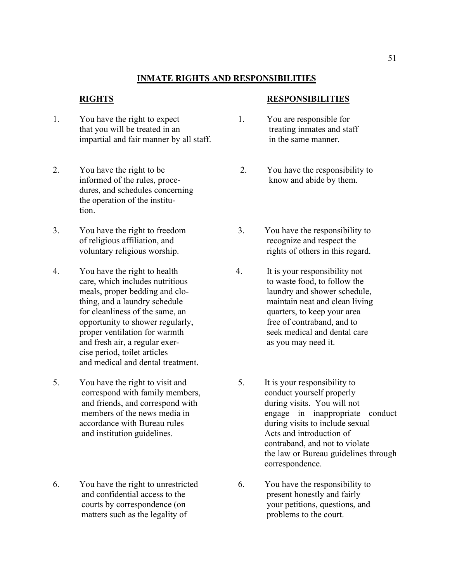# **INMATE RIGHTS AND RESPONSIBILITIES**

- 1. You have the right to expect 1. You are responsible for that you will be treated in an treating inmates and staff impartial and fair manner by all staff. in the same manner.
- dures, and schedules concerning the operation of the institution.
- 
- 4. You have the right to health 4. It is your responsibility not and fresh air, a regular exer-<br>as you may need it. cise period, toilet articles and medical and dental treatment.
- 5. You have the right to visit and 5. It is your responsibility to and institution guidelines. Acts and introduction of
- 6. You have the right to unrestricted 6. You have the responsibility to matters such as the legality of problems to the court.

#### **RIGHTS RESPONSIBILITIES**

- 
- 2. You have the right to be 2. You have the responsibility to informed of the rules, proce- know and abide by them.
- 3. You have the right to freedom 3. You have the responsibility to of religious affiliation, and recognize and respect the voluntary religious worship. The rights of others in this regard.
	- care, which includes nutritious to waste food, to follow the meals, proper bedding and clo- laundry and shower schedule, thing, and a laundry schedule maintain neat and clean living for cleanliness of the same, an quarters, to keep your area opportunity to shower regularly, free of contraband, and to proper ventilation for warmth seek medical and dental care
	- correspond with family members, conduct yourself properly and friends, and correspond with during visits. You will not members of the news media in the contract of the news media in the contract of the news media in the contract of the news media in the contract of the news media engage in inappropriate conduct accordance with Bureau rules during visits to include sexual contraband, and not to violate the law or Bureau guidelines through correspondence.
	- and confidential access to the present honestly and fairly courts by correspondence (on your petitions, questions, and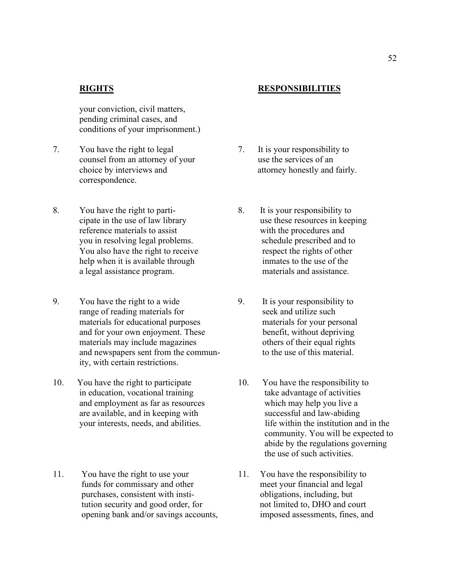your conviction, civil matters, pending criminal cases, and conditions of your imprisonment.)

- 7. You have the right to legal 7. It is your responsibility to counsel from an attorney of your use the services of an correspondence.
- 8. You have the right to parti- 8. It is your responsibility to reference materials to assist with the procedures and you in resolving legal problems.<br>
You also have the right to receive<br>
Schedule prescribed and to<br>
respect the rights of other You also have the right to receive help when it is available through inmates to the use of the a legal assistance program. materials and assistance.
- 9. You have the right to a wide 9. It is your responsibility to range of reading materials for seek and utilize such materials for educational purposes materials for your personal and for your own enjoyment. These benefit, without depriving materials may include magazines others of their equal rights and newspapers sent from the commun-<br>to the use of this material. ity, with certain restrictions.
- 10. You have the right to participate 10. You have the responsibility to in education, vocational training take advantage of activities and employment as far as resources which may help you live a are available, and in keeping with successful and law-abiding
- 11. You have the right to use your 11. You have the responsibility to funds for commissary and other meet your financial and legal purchases, consistent with insti- obligations, including, but tution security and good order, for not limited to, DHO and court

#### **RIGHTS RESPONSIBILITIES**

- choice by interviews and attorney honestly and fairly.
- cipate in the use of law library use these resources in keeping
	-
- your interests, needs, and abilities. life within the institution and in the community. You will be expected to abide by the regulations governing the use of such activities.
- opening bank and/or savings accounts, imposed assessments, fines, and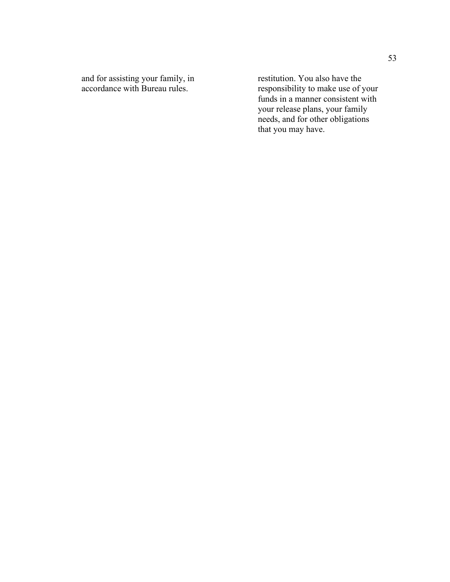and for assisting your family, in restitution. You also have the accordance with Bureau rules. The responsibility to make use of y

accordance with Bureau rules. The responsibility to make use of your funds in a manner consistent with your release plans, your family needs, and for other obligations that you may have.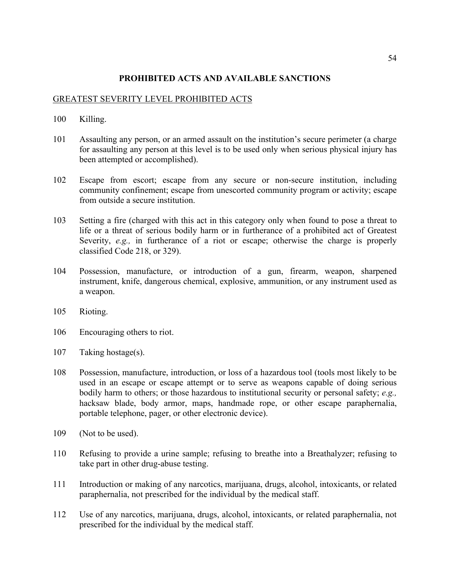### **PROHIBITED ACTS AND AVAILABLE SANCTIONS**

#### GREATEST SEVERITY LEVEL PROHIBITED ACTS

- 100 Killing.
- 101 Assaulting any person, or an armed assault on the institution's secure perimeter (a charge for assaulting any person at this level is to be used only when serious physical injury has been attempted or accomplished).
- 102 Escape from escort; escape from any secure or non-secure institution, including community confinement; escape from unescorted community program or activity; escape from outside a secure institution.
- 103 Setting a fire (charged with this act in this category only when found to pose a threat to life or a threat of serious bodily harm or in furtherance of a prohibited act of Greatest Severity, *e.g.,* in furtherance of a riot or escape; otherwise the charge is properly classified Code 218, or 329).
- 104 Possession, manufacture, or introduction of a gun, firearm, weapon, sharpened instrument, knife, dangerous chemical, explosive, ammunition, or any instrument used as a weapon.
- 105 Rioting.
- 106 Encouraging others to riot.
- 107 Taking hostage(s).
- 108 Possession, manufacture, introduction, or loss of a hazardous tool (tools most likely to be used in an escape or escape attempt or to serve as weapons capable of doing serious bodily harm to others; or those hazardous to institutional security or personal safety; *e.g.,* hacksaw blade, body armor, maps, handmade rope, or other escape paraphernalia, portable telephone, pager, or other electronic device).
- 109 (Not to be used).
- 110 Refusing to provide a urine sample; refusing to breathe into a Breathalyzer; refusing to take part in other drug-abuse testing.
- 111 Introduction or making of any narcotics, marijuana, drugs, alcohol, intoxicants, or related paraphernalia, not prescribed for the individual by the medical staff.
- 112 Use of any narcotics, marijuana, drugs, alcohol, intoxicants, or related paraphernalia, not prescribed for the individual by the medical staff.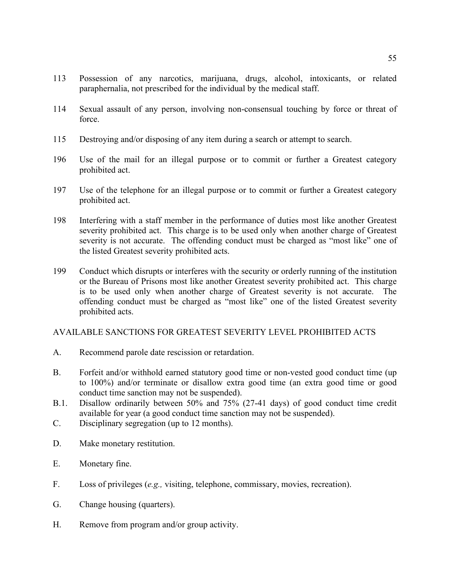- 113 Possession of any narcotics, marijuana, drugs, alcohol, intoxicants, or related paraphernalia, not prescribed for the individual by the medical staff.
- 114 Sexual assault of any person, involving non-consensual touching by force or threat of force.
- 115 Destroying and/or disposing of any item during a search or attempt to search.
- 196 Use of the mail for an illegal purpose or to commit or further a Greatest category prohibited act.
- 197 Use of the telephone for an illegal purpose or to commit or further a Greatest category prohibited act.
- 198 Interfering with a staff member in the performance of duties most like another Greatest severity prohibited act. This charge is to be used only when another charge of Greatest severity is not accurate. The offending conduct must be charged as "most like" one of the listed Greatest severity prohibited acts.
- 199 Conduct which disrupts or interferes with the security or orderly running of the institution or the Bureau of Prisons most like another Greatest severity prohibited act. This charge is to be used only when another charge of Greatest severity is not accurate. The offending conduct must be charged as "most like" one of the listed Greatest severity prohibited acts.

### AVAILABLE SANCTIONS FOR GREATEST SEVERITY LEVEL PROHIBITED ACTS

- A. Recommend parole date rescission or retardation.
- B. Forfeit and/or withhold earned statutory good time or non-vested good conduct time (up to 100%) and/or terminate or disallow extra good time (an extra good time or good conduct time sanction may not be suspended).
- B.1. Disallow ordinarily between 50% and 75% (27-41 days) of good conduct time credit available for year (a good conduct time sanction may not be suspended).
- C. Disciplinary segregation (up to 12 months).
- D. Make monetary restitution.
- E. Monetary fine.
- F. Loss of privileges (*e.g.,* visiting, telephone, commissary, movies, recreation).
- G. Change housing (quarters).
- H. Remove from program and/or group activity.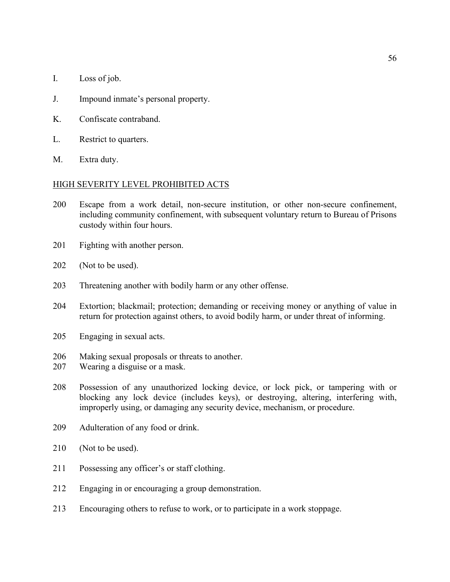- I. Loss of job.
- J. Impound inmate's personal property.
- K. Confiscate contraband.
- L. Restrict to quarters.
- M. Extra duty.

#### HIGH SEVERITY LEVEL PROHIBITED ACTS

- 200 Escape from a work detail, non-secure institution, or other non-secure confinement, including community confinement, with subsequent voluntary return to Bureau of Prisons custody within four hours.
- 201 Fighting with another person.
- 202 (Not to be used).
- 203 Threatening another with bodily harm or any other offense.
- 204 Extortion; blackmail; protection; demanding or receiving money or anything of value in return for protection against others, to avoid bodily harm, or under threat of informing.
- 205 Engaging in sexual acts.
- 206 Making sexual proposals or threats to another.
- 207 Wearing a disguise or a mask.
- 208 Possession of any unauthorized locking device, or lock pick, or tampering with or blocking any lock device (includes keys), or destroying, altering, interfering with, improperly using, or damaging any security device, mechanism, or procedure.
- 209 Adulteration of any food or drink.
- 210 (Not to be used).
- 211 Possessing any officer's or staff clothing.
- 212 Engaging in or encouraging a group demonstration.
- 213 Encouraging others to refuse to work, or to participate in a work stoppage.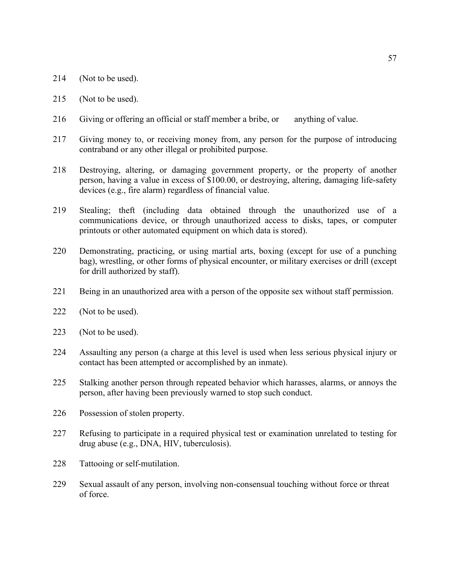- 214 (Not to be used).
- 215 (Not to be used).
- 216 Giving or offering an official or staff member a bribe, or anything of value.
- 217 Giving money to, or receiving money from, any person for the purpose of introducing contraband or any other illegal or prohibited purpose.
- 218 Destroying, altering, or damaging government property, or the property of another person, having a value in excess of \$100.00, or destroying, altering, damaging life-safety devices (e.g., fire alarm) regardless of financial value.
- 219 Stealing; theft (including data obtained through the unauthorized use of a communications device, or through unauthorized access to disks, tapes, or computer printouts or other automated equipment on which data is stored).
- 220 Demonstrating, practicing, or using martial arts, boxing (except for use of a punching bag), wrestling, or other forms of physical encounter, or military exercises or drill (except for drill authorized by staff).
- 221 Being in an unauthorized area with a person of the opposite sex without staff permission.
- 222 (Not to be used).
- 223 (Not to be used).
- 224 Assaulting any person (a charge at this level is used when less serious physical injury or contact has been attempted or accomplished by an inmate).
- 225 Stalking another person through repeated behavior which harasses, alarms, or annoys the person, after having been previously warned to stop such conduct.
- 226 Possession of stolen property.
- 227 Refusing to participate in a required physical test or examination unrelated to testing for drug abuse (e.g., DNA, HIV, tuberculosis).
- 228 Tattooing or self-mutilation.
- 229 Sexual assault of any person, involving non-consensual touching without force or threat of force.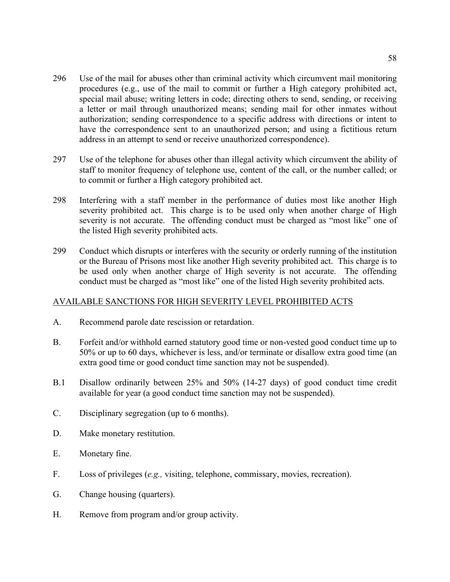- 296 Use of the mail for abuses other than criminal activity which circumvent mail monitoring procedures (e.g., use of the mail to commit or further a High category prohibited act, special mail abuse; writing letters in code; directing others to send, sending, or receiving a letter or mail through unauthorized means; sending mail for other inmates without authorization; sending correspondence to a specific address with directions or intent to have the correspondence sent to an unauthorized person; and using a fictitious return address in an attempt to send or receive unauthorized correspondence).
- 297 Use of the telephone for abuses other than illegal activity which circumvent the ability of staff to monitor frequency of telephone use, content of the call, or the number called; or to commit or further a High category prohibited act.
- 298 Interfering with a staff member in the performance of duties most like another High severity prohibited act. This charge is to be used only when another charge of High severity is not accurate. The offending conduct must be charged as "most like" one of the listed High severity prohibited acts.
- 299 Conduct which disrupts or interferes with the security or orderly running of the institution or the Bureau of Prisons most like another High severity prohibited act. This charge is to be used only when another charge of High severity is not accurate. The offending conduct must be charged as "most like" one of the listed High severity prohibited acts.

# AVAILABLE SANCTIONS FOR HIGH SEVERITY LEVEL PROHIBITED ACTS

- A. Recommend parole date rescission or retardation.
- B. Forfeit and/or withhold earned statutory good time or non-vested good conduct time up to 50% or up to 60 days, whichever is less, and/or terminate or disallow extra good time (an extra good time or good conduct time sanction may not be suspended).
- B.1 Disallow ordinarily between 25% and 50% (14-27 days) of good conduct time credit available for year (a good conduct time sanction may not be suspended).
- C. Disciplinary segregation (up to 6 months).
- D. Make monetary restitution.
- E. Monetary fine.
- F. Loss of privileges (*e.g.,* visiting, telephone, commissary, movies, recreation).
- G. Change housing (quarters).
- H. Remove from program and/or group activity.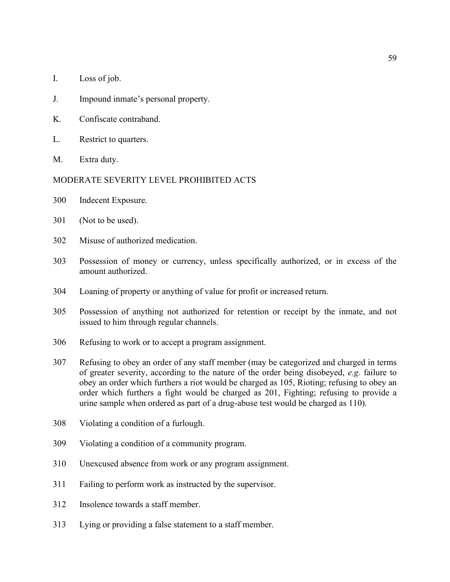- I. Loss of job.
- J. Impound inmate's personal property.
- K. Confiscate contraband.
- L. Restrict to quarters.
- M. Extra duty.

#### MODERATE SEVERITY LEVEL PROHIBITED ACTS

- 300 Indecent Exposure.
- 301 (Not to be used).
- 302 Misuse of authorized medication.
- 303 Possession of money or currency, unless specifically authorized, or in excess of the amount authorized.
- 304 Loaning of property or anything of value for profit or increased return.
- 305 Possession of anything not authorized for retention or receipt by the inmate, and not issued to him through regular channels.
- 306 Refusing to work or to accept a program assignment.
- 307 Refusing to obey an order of any staff member (may be categorized and charged in terms of greater severity, according to the nature of the order being disobeyed, *e.g.* failure to obey an order which furthers a riot would be charged as 105, Rioting; refusing to obey an order which furthers a fight would be charged as 201, Fighting; refusing to provide a urine sample when ordered as part of a drug-abuse test would be charged as 110).
- 308 Violating a condition of a furlough.
- 309 Violating a condition of a community program.
- 310 Unexcused absence from work or any program assignment.
- 311 Failing to perform work as instructed by the supervisor.
- 312 Insolence towards a staff member.
- 313 Lying or providing a false statement to a staff member.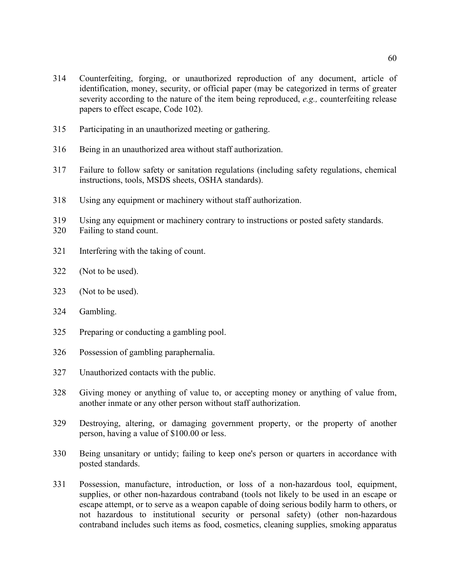- Participating in an unauthorized meeting or gathering.
- Being in an unauthorized area without staff authorization.
- Failure to follow safety or sanitation regulations (including safety regulations, chemical instructions, tools, MSDS sheets, OSHA standards).
- Using any equipment or machinery without staff authorization.
- Using any equipment or machinery contrary to instructions or posted safety standards.
- Failing to stand count.
- Interfering with the taking of count.
- (Not to be used).
- (Not to be used).
- Gambling.
- Preparing or conducting a gambling pool.
- Possession of gambling paraphernalia.
- Unauthorized contacts with the public.
- Giving money or anything of value to, or accepting money or anything of value from, another inmate or any other person without staff authorization.
- Destroying, altering, or damaging government property, or the property of another person, having a value of \$100.00 or less.
- Being unsanitary or untidy; failing to keep one's person or quarters in accordance with posted standards.
- Possession, manufacture, introduction, or loss of a non-hazardous tool, equipment, supplies, or other non-hazardous contraband (tools not likely to be used in an escape or escape attempt, or to serve as a weapon capable of doing serious bodily harm to others, or not hazardous to institutional security or personal safety) (other non-hazardous contraband includes such items as food, cosmetics, cleaning supplies, smoking apparatus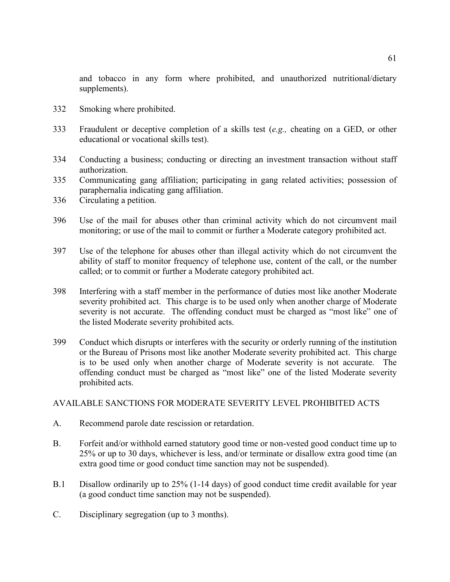and tobacco in any form where prohibited, and unauthorized nutritional/dietary supplements).

- 332 Smoking where prohibited.
- 333 Fraudulent or deceptive completion of a skills test (*e.g.,* cheating on a GED, or other educational or vocational skills test).
- 334 Conducting a business; conducting or directing an investment transaction without staff authorization.
- 335 Communicating gang affiliation; participating in gang related activities; possession of paraphernalia indicating gang affiliation.
- 336 Circulating a petition.
- 396 Use of the mail for abuses other than criminal activity which do not circumvent mail monitoring; or use of the mail to commit or further a Moderate category prohibited act.
- 397 Use of the telephone for abuses other than illegal activity which do not circumvent the ability of staff to monitor frequency of telephone use, content of the call, or the number called; or to commit or further a Moderate category prohibited act.
- 398 Interfering with a staff member in the performance of duties most like another Moderate severity prohibited act. This charge is to be used only when another charge of Moderate severity is not accurate. The offending conduct must be charged as "most like" one of the listed Moderate severity prohibited acts.
- 399 Conduct which disrupts or interferes with the security or orderly running of the institution or the Bureau of Prisons most like another Moderate severity prohibited act. This charge is to be used only when another charge of Moderate severity is not accurate. The offending conduct must be charged as "most like" one of the listed Moderate severity prohibited acts.

### AVAILABLE SANCTIONS FOR MODERATE SEVERITY LEVEL PROHIBITED ACTS

- A. Recommend parole date rescission or retardation.
- B. Forfeit and/or withhold earned statutory good time or non-vested good conduct time up to 25% or up to 30 days, whichever is less, and/or terminate or disallow extra good time (an extra good time or good conduct time sanction may not be suspended).
- B.1 Disallow ordinarily up to 25% (1-14 days) of good conduct time credit available for year (a good conduct time sanction may not be suspended).
- C. Disciplinary segregation (up to 3 months).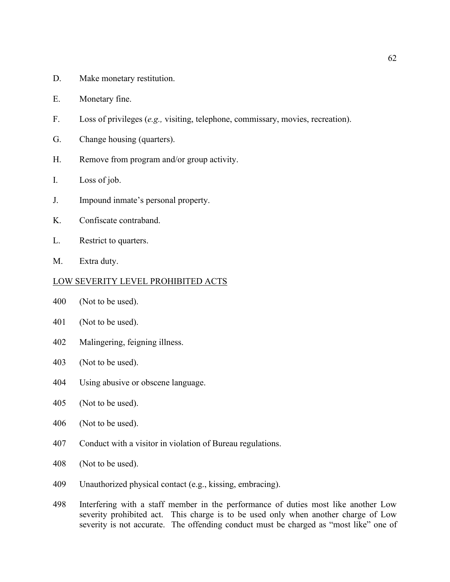- D. Make monetary restitution.
- E. Monetary fine.
- F. Loss of privileges (*e.g.,* visiting, telephone, commissary, movies, recreation).
- G. Change housing (quarters).
- H. Remove from program and/or group activity.
- I. Loss of job.
- J. Impound inmate's personal property.
- K. Confiscate contraband.
- L. Restrict to quarters.
- M. Extra duty.

#### LOW SEVERITY LEVEL PROHIBITED ACTS

- 400 (Not to be used).
- 401 (Not to be used).
- 402 Malingering, feigning illness.
- 403 (Not to be used).
- 404 Using abusive or obscene language.
- 405 (Not to be used).
- 406 (Not to be used).
- 407 Conduct with a visitor in violation of Bureau regulations.
- 408 (Not to be used).
- 409 Unauthorized physical contact (e.g., kissing, embracing).
- 498 Interfering with a staff member in the performance of duties most like another Low severity prohibited act. This charge is to be used only when another charge of Low severity is not accurate. The offending conduct must be charged as "most like" one of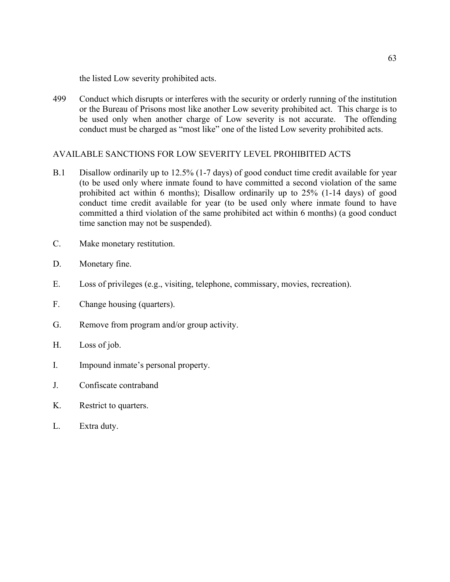the listed Low severity prohibited acts.

499 Conduct which disrupts or interferes with the security or orderly running of the institution or the Bureau of Prisons most like another Low severity prohibited act. This charge is to be used only when another charge of Low severity is not accurate. The offending conduct must be charged as "most like" one of the listed Low severity prohibited acts.

# AVAILABLE SANCTIONS FOR LOW SEVERITY LEVEL PROHIBITED ACTS

- B.1 Disallow ordinarily up to 12.5% (1-7 days) of good conduct time credit available for year (to be used only where inmate found to have committed a second violation of the same prohibited act within 6 months); Disallow ordinarily up to 25% (1-14 days) of good conduct time credit available for year (to be used only where inmate found to have committed a third violation of the same prohibited act within 6 months) (a good conduct time sanction may not be suspended).
- C. Make monetary restitution.
- D. Monetary fine.
- E. Loss of privileges (e.g., visiting, telephone, commissary, movies, recreation).
- F. Change housing (quarters).
- G. Remove from program and/or group activity.
- H. Loss of job.
- I. Impound inmate's personal property.
- J. Confiscate contraband
- K. Restrict to quarters.
- L. Extra duty.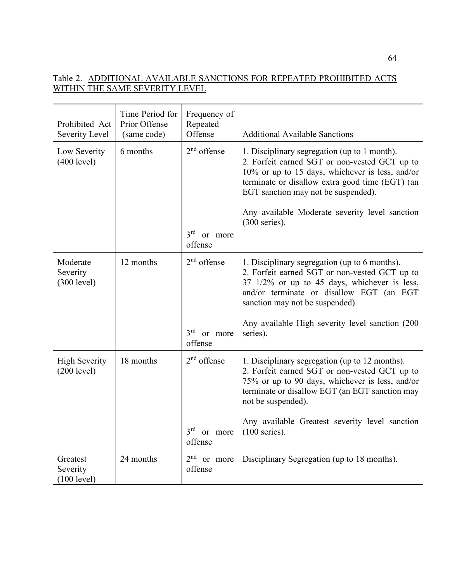# Table 2. ADDITIONAL AVAILABLE SANCTIONS FOR REPEATED PROHIBITED ACTS WITHIN THE SAME SEVERITY LEVEL

| Prohibited Act<br>Severity Level    | Time Period for<br>Prior Offense<br>(same code) | Frequency of<br>Repeated<br>Offense                    | <b>Additional Available Sanctions</b>                                                                                                                                                                                                                                                                           |
|-------------------------------------|-------------------------------------------------|--------------------------------------------------------|-----------------------------------------------------------------------------------------------------------------------------------------------------------------------------------------------------------------------------------------------------------------------------------------------------------------|
| Low Severity<br>(400 level)         | 6 months                                        | $2nd$ offense<br>$3rd$ or more<br>offense              | 1. Disciplinary segregation (up to 1 month).<br>2. Forfeit earned SGT or non-vested GCT up to<br>10% or up to 15 days, whichever is less, and/or<br>terminate or disallow extra good time (EGT) (an<br>EGT sanction may not be suspended).<br>Any available Moderate severity level sanction<br>$(300$ series). |
| Moderate<br>Severity<br>(300 level) | 12 months                                       | $2nd$ offense<br>3 <sup>rd</sup><br>or more<br>offense | 1. Disciplinary segregation (up to 6 months).<br>2. Forfeit earned SGT or non-vested GCT up to<br>37 1/2% or up to 45 days, whichever is less,<br>and/or terminate or disallow EGT (an EGT<br>sanction may not be suspended).<br>Any available High severity level sanction (200<br>series).                    |
| <b>High Severity</b><br>(200 level) | 18 months                                       | $2nd$ offense<br>$3rd$ or more<br>offense              | 1. Disciplinary segregation (up to 12 months).<br>2. Forfeit earned SGT or non-vested GCT up to<br>75% or up to 90 days, whichever is less, and/or<br>terminate or disallow EGT (an EGT sanction may<br>not be suspended).<br>Any available Greatest severity level sanction<br>$(100$ series).                 |
| Greatest<br>Severity<br>(100 level) | 24 months                                       | 2 <sup>nd</sup><br>or more<br>offense                  | Disciplinary Segregation (up to 18 months).                                                                                                                                                                                                                                                                     |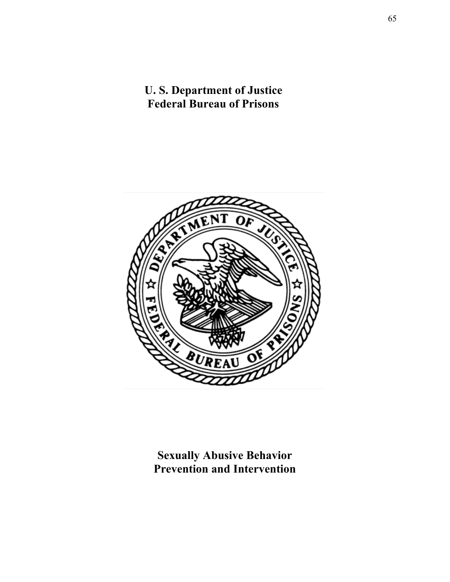# **U. S. Department of Justice Federal Bureau of Prisons**



**Sexually Abusive Behavior Prevention and Intervention**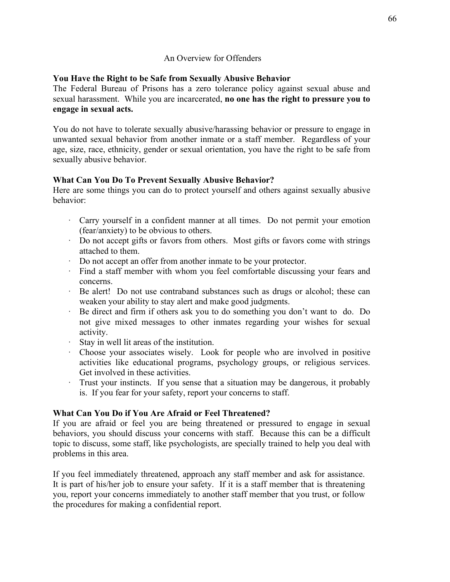### An Overview for Offenders

# **You Have the Right to be Safe from Sexually Abusive Behavior**

The Federal Bureau of Prisons has a zero tolerance policy against sexual abuse and sexual harassment. While you are incarcerated, **no one has the right to pressure you to engage in sexual acts.**

You do not have to tolerate sexually abusive/harassing behavior or pressure to engage in unwanted sexual behavior from another inmate or a staff member. Regardless of your age, size, race, ethnicity, gender or sexual orientation, you have the right to be safe from sexually abusive behavior.

# **What Can You Do To Prevent Sexually Abusive Behavior?**

Here are some things you can do to protect yourself and others against sexually abusive behavior:

- · Carry yourself in a confident manner at all times. Do not permit your emotion (fear/anxiety) to be obvious to others.
- · Do not accept gifts or favors from others. Most gifts or favors come with strings attached to them.
- · Do not accept an offer from another inmate to be your protector.
- · Find a staff member with whom you feel comfortable discussing your fears and concerns.
- · Be alert! Do not use contraband substances such as drugs or alcohol; these can weaken your ability to stay alert and make good judgments.
- · Be direct and firm if others ask you to do something you don't want to do. Do not give mixed messages to other inmates regarding your wishes for sexual activity.
- · Stay in well lit areas of the institution.
- · Choose your associates wisely. Look for people who are involved in positive activities like educational programs, psychology groups, or religious services. Get involved in these activities.
- · Trust your instincts. If you sense that a situation may be dangerous, it probably is. If you fear for your safety, report your concerns to staff.

# **What Can You Do if You Are Afraid or Feel Threatened?**

If you are afraid or feel you are being threatened or pressured to engage in sexual behaviors, you should discuss your concerns with staff. Because this can be a difficult topic to discuss, some staff, like psychologists, are specially trained to help you deal with problems in this area.

If you feel immediately threatened, approach any staff member and ask for assistance. It is part of his/her job to ensure your safety. If it is a staff member that is threatening you, report your concerns immediately to another staff member that you trust, or follow the procedures for making a confidential report.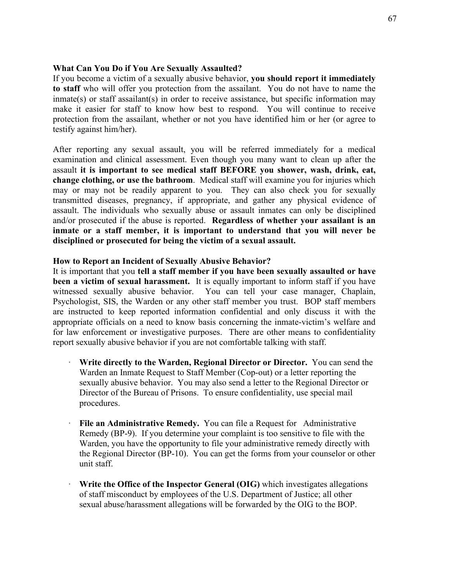#### **What Can You Do if You Are Sexually Assaulted?**

If you become a victim of a sexually abusive behavior, **you should report it immediately to staff** who will offer you protection from the assailant. You do not have to name the inmate(s) or staff assailant(s) in order to receive assistance, but specific information may make it easier for staff to know how best to respond. You will continue to receive protection from the assailant, whether or not you have identified him or her (or agree to testify against him/her).

After reporting any sexual assault, you will be referred immediately for a medical examination and clinical assessment. Even though you many want to clean up after the assault **it is important to see medical staff BEFORE you shower, wash, drink, eat, change clothing, or use the bathroom**. Medical staff will examine you for injuries which may or may not be readily apparent to you. They can also check you for sexually transmitted diseases, pregnancy, if appropriate, and gather any physical evidence of assault. The individuals who sexually abuse or assault inmates can only be disciplined and/or prosecuted if the abuse is reported. **Regardless of whether your assailant is an inmate or a staff member, it is important to understand that you will never be disciplined or prosecuted for being the victim of a sexual assault.**

#### **How to Report an Incident of Sexually Abusive Behavior?**

It is important that you **tell a staff member if you have been sexually assaulted or have been a victim of sexual harassment.** It is equally important to inform staff if you have witnessed sexually abusive behavior. You can tell your case manager, Chaplain, Psychologist, SIS, the Warden or any other staff member you trust. BOP staff members are instructed to keep reported information confidential and only discuss it with the appropriate officials on a need to know basis concerning the inmate-victim's welfare and for law enforcement or investigative purposes. There are other means to confidentiality report sexually abusive behavior if you are not comfortable talking with staff.

- · **Write directly to the Warden, Regional Director or Director.** You can send the Warden an Inmate Request to Staff Member (Cop-out) or a letter reporting the sexually abusive behavior. You may also send a letter to the Regional Director or Director of the Bureau of Prisons. To ensure confidentiality, use special mail procedures.
- **File an Administrative Remedy.** You can file a Request for Administrative Remedy (BP-9). If you determine your complaint is too sensitive to file with the Warden, you have the opportunity to file your administrative remedy directly with the Regional Director (BP-10). You can get the forms from your counselor or other unit staff.
- **Write the Office of the Inspector General (OIG)** which investigates allegations of staff misconduct by employees of the U.S. Department of Justice; all other sexual abuse/harassment allegations will be forwarded by the OIG to the BOP.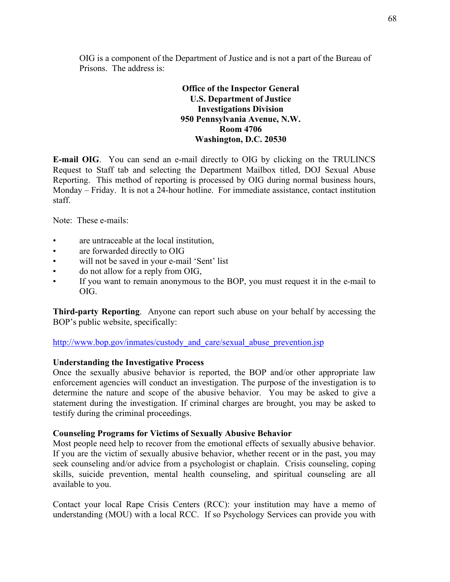OIG is a component of the Department of Justice and is not a part of the Bureau of Prisons. The address is:

# **Office of the Inspector General U.S. Department of Justice Investigations Division 950 Pennsylvania Avenue, N.W. Room 4706 Washington, D.C. 20530**

**E-mail OIG**. You can send an e-mail directly to OIG by clicking on the TRULINCS Request to Staff tab and selecting the Department Mailbox titled, DOJ Sexual Abuse Reporting. This method of reporting is processed by OIG during normal business hours, Monday – Friday. It is not a 24-hour hotline. For immediate assistance, contact institution staff.

Note: These e-mails:

- are untraceable at the local institution,
- are forwarded directly to OIG
- will not be saved in your e-mail 'Sent' list
- do not allow for a reply from OIG,
- If you want to remain anonymous to the BOP, you must request it in the e-mail to OIG.

**Third-party Reporting**. Anyone can report such abuse on your behalf by accessing the BOP's public website, specifically:

http://www.bop.gov/inmates/custody and care/sexual abuse prevention.jsp

#### **Understanding the Investigative Process**

Once the sexually abusive behavior is reported, the BOP and/or other appropriate law enforcement agencies will conduct an investigation. The purpose of the investigation is to determine the nature and scope of the abusive behavior. You may be asked to give a statement during the investigation. If criminal charges are brought, you may be asked to testify during the criminal proceedings.

#### **Counseling Programs for Victims of Sexually Abusive Behavior**

Most people need help to recover from the emotional effects of sexually abusive behavior. If you are the victim of sexually abusive behavior, whether recent or in the past, you may seek counseling and/or advice from a psychologist or chaplain. Crisis counseling, coping skills, suicide prevention, mental health counseling, and spiritual counseling are all available to you.

Contact your local Rape Crisis Centers (RCC): your institution may have a memo of understanding (MOU) with a local RCC. If so Psychology Services can provide you with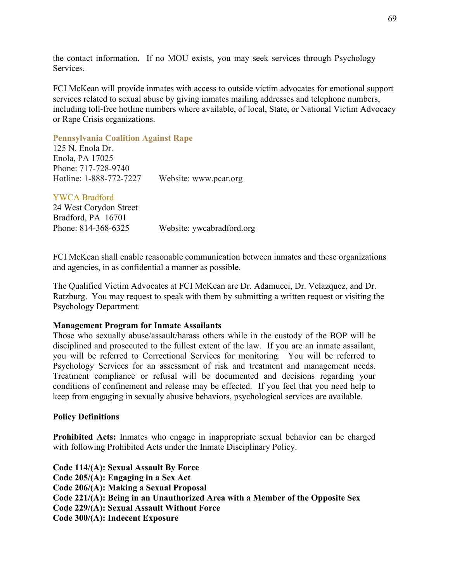the contact information. If no MOU exists, you may seek services through Psychology Services.

FCI McKean will provide inmates with access to outside victim advocates for emotional support services related to sexual abuse by giving inmates mailing addresses and telephone numbers, including toll-free hotline numbers where available, of local, State, or National Victim Advocacy or Rape Crisis organizations.

#### **[Pennsylvania Coalition Against Rape](http://www.pcar.org/contractor/search)**

125 N. Enola Dr. Enola, PA 17025 Phone: 717-728-9740 Hotline: 1-888-772-7227 Website: www.pcar.org

YWCA Bradford 24 West Corydon Street Bradford, PA 16701 Phone: 814-368-6325 Website: ywcabradford.org

FCI McKean shall enable reasonable communication between inmates and these organizations and agencies, in as confidential a manner as possible.

The Qualified Victim Advocates at FCI McKean are Dr. Adamucci, Dr. Velazquez, and Dr. Ratzburg. You may request to speak with them by submitting a written request or visiting the Psychology Department.

#### **Management Program for Inmate Assailants**

Those who sexually abuse/assault/harass others while in the custody of the BOP will be disciplined and prosecuted to the fullest extent of the law. If you are an inmate assailant, you will be referred to Correctional Services for monitoring. You will be referred to Psychology Services for an assessment of risk and treatment and management needs. Treatment compliance or refusal will be documented and decisions regarding your conditions of confinement and release may be effected. If you feel that you need help to keep from engaging in sexually abusive behaviors, psychological services are available.

### **Policy Definitions**

**Prohibited Acts:** Inmates who engage in inappropriate sexual behavior can be charged with following Prohibited Acts under the Inmate Disciplinary Policy.

**Code 114/(A): Sexual Assault By Force Code 205/(A): Engaging in a Sex Act Code 206/(A): Making a Sexual Proposal Code 221/(A): Being in an Unauthorized Area with a Member of the Opposite Sex Code 229/(A): Sexual Assault Without Force Code 300/(A): Indecent Exposure**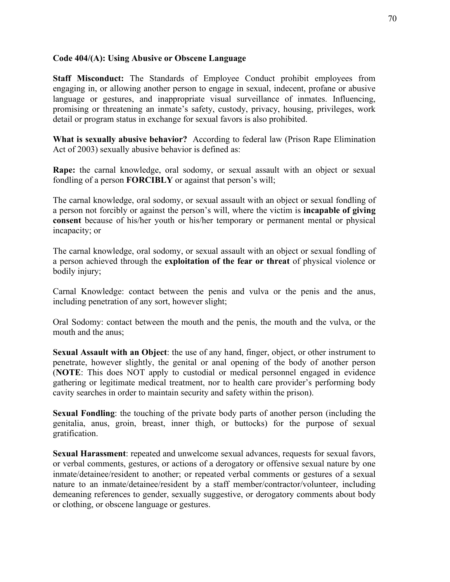### **Code 404/(A): Using Abusive or Obscene Language**

**Staff Misconduct:** The Standards of Employee Conduct prohibit employees from engaging in, or allowing another person to engage in sexual, indecent, profane or abusive language or gestures, and inappropriate visual surveillance of inmates. Influencing, promising or threatening an inmate's safety, custody, privacy, housing, privileges, work detail or program status in exchange for sexual favors is also prohibited.

**What is sexually abusive behavior?** According to federal law (Prison Rape Elimination Act of 2003) sexually abusive behavior is defined as:

**Rape:** the carnal knowledge, oral sodomy, or sexual assault with an object or sexual fondling of a person **FORCIBLY** or against that person's will;

The carnal knowledge, oral sodomy, or sexual assault with an object or sexual fondling of a person not forcibly or against the person's will, where the victim is **incapable of giving consent** because of his/her youth or his/her temporary or permanent mental or physical incapacity; or

The carnal knowledge, oral sodomy, or sexual assault with an object or sexual fondling of a person achieved through the **exploitation of the fear or threat** of physical violence or bodily injury;

Carnal Knowledge: contact between the penis and vulva or the penis and the anus, including penetration of any sort, however slight;

Oral Sodomy: contact between the mouth and the penis, the mouth and the vulva, or the mouth and the anus;

**Sexual Assault with an Object**: the use of any hand, finger, object, or other instrument to penetrate, however slightly, the genital or anal opening of the body of another person (**NOTE**: This does NOT apply to custodial or medical personnel engaged in evidence gathering or legitimate medical treatment, nor to health care provider's performing body cavity searches in order to maintain security and safety within the prison).

**Sexual Fondling**: the touching of the private body parts of another person (including the genitalia, anus, groin, breast, inner thigh, or buttocks) for the purpose of sexual gratification.

**Sexual Harassment**: repeated and unwelcome sexual advances, requests for sexual favors, or verbal comments, gestures, or actions of a derogatory or offensive sexual nature by one inmate/detainee/resident to another; or repeated verbal comments or gestures of a sexual nature to an inmate/detainee/resident by a staff member/contractor/volunteer, including demeaning references to gender, sexually suggestive, or derogatory comments about body or clothing, or obscene language or gestures.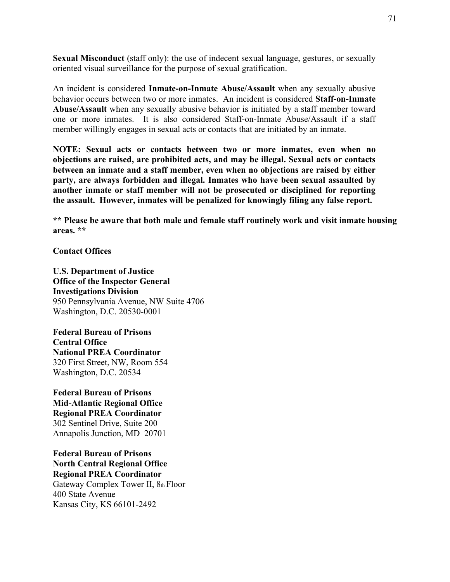**Sexual Misconduct** (staff only): the use of indecent sexual language, gestures, or sexually oriented visual surveillance for the purpose of sexual gratification.

An incident is considered **Inmate-on-Inmate Abuse/Assault** when any sexually abusive behavior occurs between two or more inmates. An incident is considered **Staff-on-Inmate Abuse/Assault** when any sexually abusive behavior is initiated by a staff member toward one or more inmates. It is also considered Staff-on-Inmate Abuse/Assault if a staff member willingly engages in sexual acts or contacts that are initiated by an inmate.

**NOTE: Sexual acts or contacts between two or more inmates, even when no objections are raised, are prohibited acts, and may be illegal. Sexual acts or contacts between an inmate and a staff member, even when no objections are raised by either party, are always forbidden and illegal. Inmates who have been sexual assaulted by another inmate or staff member will not be prosecuted or disciplined for reporting the assault. However, inmates will be penalized for knowingly filing any false report.**

**\*\* Please be aware that both male and female staff routinely work and visit inmate housing areas. \*\***

**Contact Offices**

**U.S. Department of Justice Office of the Inspector General Investigations Division** 950 Pennsylvania Avenue, NW Suite 4706 Washington, D.C. 20530-0001

**Federal Bureau of Prisons Central Office National PREA Coordinator** 320 First Street, NW, Room 554 Washington, D.C. 20534

**Federal Bureau of Prisons Mid-Atlantic Regional Office Regional PREA Coordinator** 302 Sentinel Drive, Suite 200 Annapolis Junction, MD 20701

**Federal Bureau of Prisons North Central Regional Office Regional PREA Coordinator** Gateway Complex Tower II, 8th Floor 400 State Avenue Kansas City, KS 66101-2492